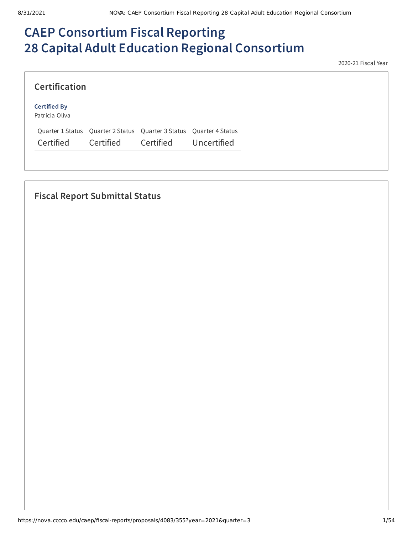# **CAEP Consortium Fiscal Reporting 28 Capital Adult Education Regional Consortium**

2020-21 Fiscal Year

| <b>Certification</b>                  |           |                                                                                  |             |
|---------------------------------------|-----------|----------------------------------------------------------------------------------|-------------|
| <b>Certified By</b><br>Patricia Oliva |           |                                                                                  |             |
| Certified                             | Certified | Quarter 1 Status Quarter 2 Status Quarter 3 Status Quarter 4 Status<br>Certified | Uncertified |

# **Fiscal Report Submittal Status**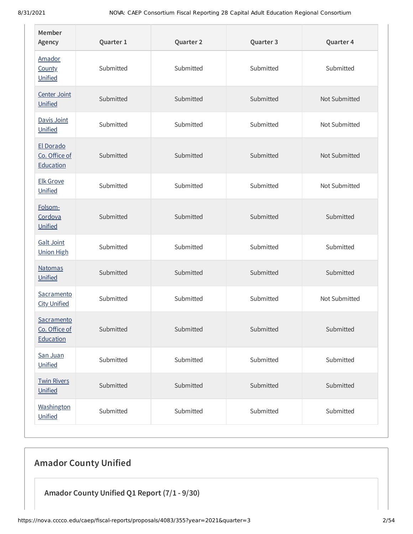| Member<br>Agency                         | Quarter 1 | Quarter 2 | Quarter 3 | Quarter 4     |
|------------------------------------------|-----------|-----------|-----------|---------------|
| Amador<br><b>County</b><br>Unified       | Submitted | Submitted | Submitted | Submitted     |
| Center Joint<br>Unified                  | Submitted | Submitted | Submitted | Not Submitted |
| Davis Joint<br>Unified                   | Submitted | Submitted | Submitted | Not Submitted |
| El Dorado<br>Co. Office of<br>Education  | Submitted | Submitted | Submitted | Not Submitted |
| <b>Elk Grove</b><br>Unified              | Submitted | Submitted | Submitted | Not Submitted |
| Folsom-<br>Cordova<br>Unified            | Submitted | Submitted | Submitted | Submitted     |
| <b>Galt Joint</b><br><b>Union High</b>   | Submitted | Submitted | Submitted | Submitted     |
| <b>Natomas</b><br>Unified                | Submitted | Submitted | Submitted | Submitted     |
| Sacramento<br><b>City Unified</b>        | Submitted | Submitted | Submitted | Not Submitted |
| Sacramento<br>Co. Office of<br>Education | Submitted | Submitted | Submitted | Submitted     |
| San Juan<br>Unified                      | Submitted | Submitted | Submitted | Submitted     |
| <b>Twin Rivers</b><br>Unified            | Submitted | Submitted | Submitted | Submitted     |
| Washington<br>Unified                    | Submitted | Submitted | Submitted | Submitted     |

# **Amador County Unified**

**Amador County Unified Q1 Report (7/1 - 9/30)**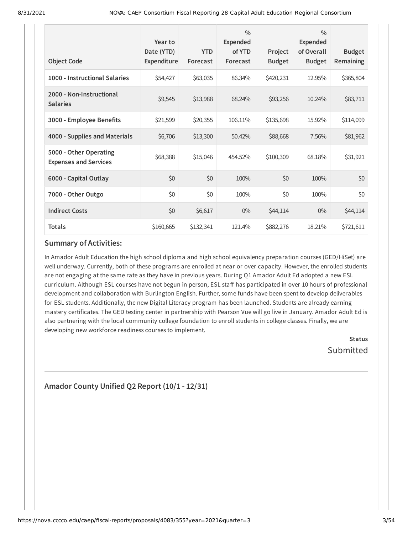| <b>Object Code</b>                                     | Year to<br>Date (YTD)<br><b>Expenditure</b> | <b>YTD</b><br>Forecast | $\frac{0}{0}$<br>Expended<br>of YTD<br>Forecast | Project<br><b>Budget</b> | $\frac{0}{0}$<br><b>Expended</b><br>of Overall<br><b>Budget</b> | <b>Budget</b><br><b>Remaining</b> |
|--------------------------------------------------------|---------------------------------------------|------------------------|-------------------------------------------------|--------------------------|-----------------------------------------------------------------|-----------------------------------|
| 1000 - Instructional Salaries                          | \$54,427                                    | \$63,035               | 86.34%                                          | \$420,231                | 12.95%                                                          | \$365,804                         |
| 2000 - Non-Instructional<br><b>Salaries</b>            | \$9,545                                     | \$13,988               | 68.24%                                          | \$93,256                 | 10.24%                                                          | \$83,711                          |
| 3000 - Employee Benefits                               | \$21,599                                    | \$20,355               | 106.11%                                         | \$135,698                | 15.92%                                                          | \$114,099                         |
| 4000 - Supplies and Materials                          | \$6,706                                     | \$13,300               | 50.42%                                          | \$88,668                 | 7.56%                                                           | \$81,962                          |
| 5000 - Other Operating<br><b>Expenses and Services</b> | \$68,388                                    | \$15,046               | 454.52%                                         | \$100,309                | 68.18%                                                          | \$31,921                          |
| 6000 - Capital Outlay                                  | \$0                                         | \$0                    | 100%                                            | \$0                      | 100%                                                            | \$0                               |
| 7000 - Other Outgo                                     | \$0                                         | \$0                    | 100%                                            | \$0                      | 100%                                                            | \$0                               |
| <b>Indirect Costs</b>                                  | \$0                                         | \$6,617                | $0\%$                                           | \$44,114                 | $0\%$                                                           | \$44,114                          |
| <b>Totals</b>                                          | \$160,665                                   | \$132,341              | 121.4%                                          | \$882,276                | 18.21%                                                          | \$721,611                         |

In Amador Adult Education the high school diploma and high school equivalency preparation courses (GED/HiSet) are well underway. Currently, both of these programs are enrolled at near or over capacity. However, the enrolled students are not engaging at the same rate as they have in previous years. During Q1 Amador Adult Ed adopted a new ESL curriculum. Although ESL courses have not begun in person, ESL staff has participated in over 10 hours of professional development and collaboration with Burlington English. Further, some funds have been spent to develop deliverables for ESL students. Additionally, the new Digital Literacy program has been launched. Students are already earning mastery certificates. The GED testing center in partnership with Pearson Vue will go live in January. Amador Adult Ed is also partnering with the local community college foundation to enroll students in college classes. Finally, we are developing new workforce readiness courses to implement.

> **Status** Submitted

**Amador County Unified Q2 Report (10/1 - 12/31)**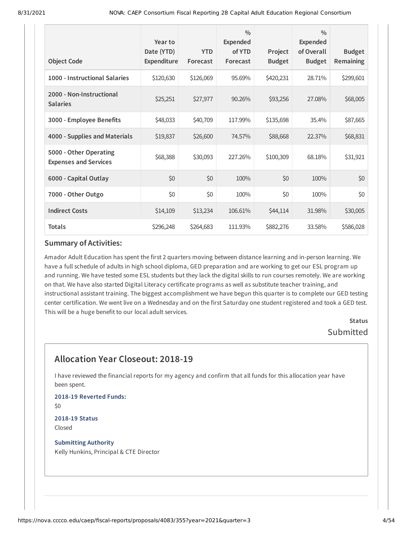| <b>Object Code</b>                                     | Year to<br>Date (YTD)<br><b>Expenditure</b> | <b>YTD</b><br>Forecast | $\frac{0}{0}$<br><b>Expended</b><br>of YTD<br>Forecast | Project<br><b>Budget</b> | $\frac{0}{0}$<br><b>Expended</b><br>of Overall<br><b>Budget</b> | <b>Budget</b><br>Remaining |
|--------------------------------------------------------|---------------------------------------------|------------------------|--------------------------------------------------------|--------------------------|-----------------------------------------------------------------|----------------------------|
| 1000 - Instructional Salaries                          | \$120,630                                   | \$126,069              | 95.69%                                                 | \$420,231                | 28.71%                                                          | \$299,601                  |
| 2000 - Non-Instructional<br><b>Salaries</b>            | \$25,251                                    | \$27,977               | 90.26%                                                 | \$93,256                 | 27.08%                                                          | \$68,005                   |
| 3000 - Employee Benefits                               | \$48,033                                    | \$40,709               | 117.99%                                                | \$135,698                | 35.4%                                                           | \$87,665                   |
| 4000 - Supplies and Materials                          | \$19,837                                    | \$26,600               | 74.57%                                                 | \$88,668                 | 22.37%                                                          | \$68,831                   |
| 5000 - Other Operating<br><b>Expenses and Services</b> | \$68,388                                    | \$30,093               | 227.26%                                                | \$100,309                | 68.18%                                                          | \$31,921                   |
| 6000 - Capital Outlay                                  | \$0                                         | \$0                    | 100%                                                   | \$0                      | 100%                                                            | \$0                        |
| 7000 - Other Outgo                                     | \$0                                         | \$0                    | 100%                                                   | \$0                      | 100%                                                            | \$0                        |
| <b>Indirect Costs</b>                                  | \$14,109                                    | \$13,234               | 106.61%                                                | \$44,114                 | 31.98%                                                          | \$30,005                   |
| <b>Totals</b>                                          | \$296,248                                   | \$264,683              | 111.93%                                                | \$882,276                | 33.58%                                                          | \$586,028                  |

Amador Adult Education has spent the first 2 quarters moving between distance learning and in-person learning. We have a full schedule of adults in high school diploma, GED preparation and are working to get our ESL program up and running. We have tested some ESL students but they lack the digital skills to run courses remotely. We are working on that. We have also started Digital Literacy certificate programs as well as substitute teacher training, and instructional assistant training. The biggest accomplishment we have begun this quarter is to complete our GED testing center certification. We went live on a Wednesday and on the first Saturday one student registered and took a GED test. This will be a huge benefit to our local adult services.

> **Status** Submitted

# **Allocation Year Closeout: 2018-19**

I have reviewed the financial reports for my agency and confirm that all funds for this allocation year have been spent.

**2018-19 Reverted Funds:** \$0

**2018-19 Status** Closed

**Submitting Authority** Kelly Hunkins, Principal & CTE Director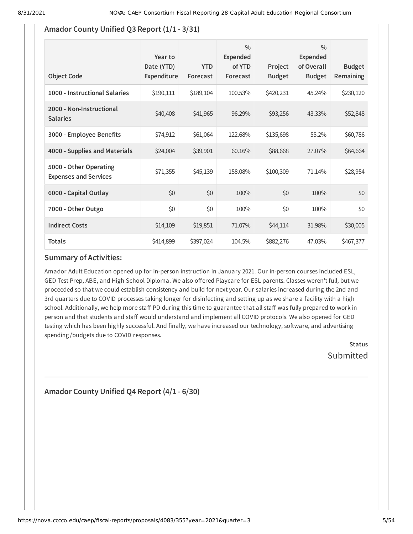# **Amador County Unified Q3 Report (1/1 - 3/31)**

| <b>Object Code</b>                                     | Year to<br>Date (YTD)<br>Expenditure | <b>YTD</b><br>Forecast | $\frac{0}{0}$<br>Expended<br>of YTD<br>Forecast | Project<br><b>Budget</b> | $\frac{0}{0}$<br><b>Expended</b><br>of Overall<br><b>Budget</b> | <b>Budget</b><br><b>Remaining</b> |
|--------------------------------------------------------|--------------------------------------|------------------------|-------------------------------------------------|--------------------------|-----------------------------------------------------------------|-----------------------------------|
| 1000 - Instructional Salaries                          | \$190,111                            | \$189,104              | 100.53%                                         | \$420,231                | 45.24%                                                          | \$230,120                         |
| 2000 - Non-Instructional<br><b>Salaries</b>            | \$40,408                             | \$41,965               | 96.29%                                          | \$93,256                 | 43.33%                                                          | \$52,848                          |
| 3000 - Employee Benefits                               | \$74,912                             | \$61,064               | 122.68%                                         | \$135,698                | 55.2%                                                           | \$60,786                          |
| 4000 - Supplies and Materials                          | \$24,004                             | \$39,901               | 60.16%                                          | \$88,668                 | 27.07%                                                          | \$64,664                          |
| 5000 - Other Operating<br><b>Expenses and Services</b> | \$71,355                             | \$45,139               | 158.08%                                         | \$100,309                | 71.14%                                                          | \$28,954                          |
| 6000 - Capital Outlay                                  | \$0                                  | \$0                    | 100%                                            | \$0                      | 100%                                                            | \$0                               |
| 7000 - Other Outgo                                     | \$0                                  | \$0                    | 100%                                            | \$0                      | 100%                                                            | \$0                               |
| <b>Indirect Costs</b>                                  | \$14,109                             | \$19,851               | 71.07%                                          | \$44,114                 | 31.98%                                                          | \$30,005                          |
| <b>Totals</b>                                          | \$414,899                            | \$397,024              | 104.5%                                          | \$882,276                | 47.03%                                                          | \$467,377                         |

### **Summary of Activities:**

Amador Adult Education opened up for in-person instruction in January 2021. Our in-person courses included ESL, GED Test Prep, ABE, and High School Diploma. We also offered Playcare for ESL parents. Classes weren't full, but we proceeded so that we could establish consistency and build for next year. Our salaries increased during the 2nd and 3rd quarters due to COVID processes taking longer for disinfecting and setting up as we share a facility with a high school. Additionally, we help more staff PD during this time to guarantee that all staff was fully prepared to work in person and that students and staff would understand and implement all COVID protocols. We also opened for GED testing which has been highly successful. And finally, we have increased our technology, software, and advertising spending /budgets due to COVID responses.

> **Status Submitted**

# **Amador County Unified Q4 Report (4/1 - 6/30)**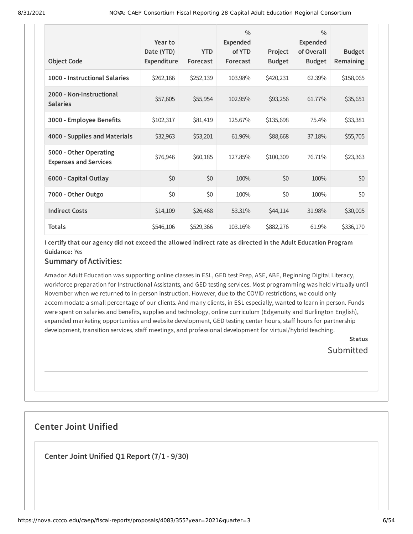| <b>Object Code</b>                                     | Year to<br>Date (YTD)<br><b>Expenditure</b> | <b>YTD</b><br>Forecast | $\frac{0}{0}$<br><b>Expended</b><br>of YTD<br>Forecast | Project<br><b>Budget</b> | $\frac{0}{0}$<br><b>Expended</b><br>of Overall<br><b>Budget</b> | <b>Budget</b><br><b>Remaining</b> |
|--------------------------------------------------------|---------------------------------------------|------------------------|--------------------------------------------------------|--------------------------|-----------------------------------------------------------------|-----------------------------------|
| 1000 - Instructional Salaries                          | \$262,166                                   | \$252,139              | 103.98%                                                | \$420,231                | 62.39%                                                          | \$158,065                         |
| 2000 - Non-Instructional<br><b>Salaries</b>            | \$57,605                                    | \$55,954               | 102.95%                                                | \$93,256                 | 61.77%                                                          | \$35,651                          |
| 3000 - Employee Benefits                               | \$102,317                                   | \$81,419               | 125.67%                                                | \$135,698                | 75.4%                                                           | \$33,381                          |
| 4000 - Supplies and Materials                          | \$32,963                                    | \$53,201               | 61.96%                                                 | \$88,668                 | 37.18%                                                          | \$55,705                          |
| 5000 - Other Operating<br><b>Expenses and Services</b> | \$76,946                                    | \$60,185               | 127.85%                                                | \$100,309                | 76.71%                                                          | \$23,363                          |
| 6000 - Capital Outlay                                  | \$0                                         | \$0                    | 100%                                                   | \$0                      | 100%                                                            | \$0                               |
| 7000 - Other Outgo                                     | \$0                                         | \$0                    | 100%                                                   | \$0                      | 100%                                                            | \$0                               |
| <b>Indirect Costs</b>                                  | \$14,109                                    | \$26,468               | 53.31%                                                 | \$44,114                 | 31.98%                                                          | \$30,005                          |
| <b>Totals</b>                                          | \$546,106                                   | \$529,366              | 103.16%                                                | \$882,276                | 61.9%                                                           | \$336,170                         |

I certify that our agency did not exceed the allowed indirect rate as directed in the Adult Education Program **Guidance:** Yes

#### **Summary of Activities:**

Amador Adult Education was supporting online classes in ESL, GED test Prep, ASE, ABE, Beginning Digital Literacy, workforce preparation for Instructional Assistants, and GED testing services. Most programming was held virtually until November when we returned to in-person instruction. However, due to the COVID restrictions, we could only accommodate a small percentage of our clients. And many clients, in ESL especially, wanted to learn in person. Funds were spent on salaries and benefits, supplies and technology, online curriculum (Edgenuity and Burlington English), expanded marketing opportunities and website development, GED testing center hours, staff hours for partnership development, transition services, staff meetings, and professional development for virtual/hybrid teaching.

> **Status** Submitted

# **Center Joint Unified**

**Center Joint Unified Q1 Report (7/1 - 9/30)**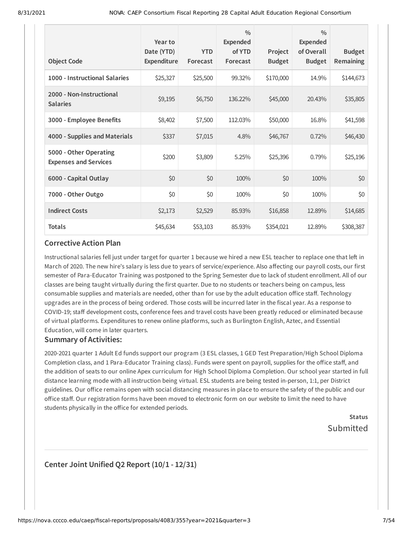| <b>Object Code</b>                                     | Year to<br>Date (YTD)<br>Expenditure | <b>YTD</b><br>Forecast | $\frac{0}{0}$<br>Expended<br>of YTD<br>Forecast | Project<br><b>Budget</b> | $\frac{0}{0}$<br>Expended<br>of Overall<br><b>Budget</b> | <b>Budget</b><br>Remaining |
|--------------------------------------------------------|--------------------------------------|------------------------|-------------------------------------------------|--------------------------|----------------------------------------------------------|----------------------------|
| 1000 - Instructional Salaries                          | \$25,327                             | \$25,500               | 99.32%                                          | \$170,000                | 14.9%                                                    | \$144,673                  |
| 2000 - Non-Instructional<br><b>Salaries</b>            | \$9,195                              | \$6,750                | 136.22%                                         | \$45,000                 | 20.43%                                                   | \$35,805                   |
| 3000 - Employee Benefits                               | \$8,402                              | \$7,500                | 112.03%                                         | \$50,000                 | 16.8%                                                    | \$41,598                   |
| 4000 - Supplies and Materials                          | \$337                                | \$7,015                | 4.8%                                            | \$46,767                 | 0.72%                                                    | \$46,430                   |
| 5000 - Other Operating<br><b>Expenses and Services</b> | \$200                                | \$3,809                | 5.25%                                           | \$25,396                 | 0.79%                                                    | \$25,196                   |
| 6000 - Capital Outlay                                  | \$0                                  | \$0                    | 100%                                            | \$0                      | 100%                                                     | \$0                        |
| 7000 - Other Outgo                                     | \$0                                  | \$0                    | 100%                                            | \$0                      | 100%                                                     | \$0                        |
| <b>Indirect Costs</b>                                  | \$2,173                              | \$2,529                | 85.93%                                          | \$16,858                 | 12.89%                                                   | \$14,685                   |
| <b>Totals</b>                                          | \$45,634                             | \$53,103               | 85.93%                                          | \$354,021                | 12.89%                                                   | \$308,387                  |

Instructional salaries fell just under target for quarter 1 because we hired a new ESL teacher to replace one that left in March of 2020. The new hire's salary is less due to years of service/experience. Also affecting our payroll costs, our first semester of Para-Educator Training was postponed to the Spring Semester due to lack of student enrollment. All of our classes are being taught virtually during the first quarter. Due to no students or teachers being on campus, less consumable supplies and materials are needed, other than for use by the adult education office staff. Technology upgrades are in the process of being ordered. Those costs will be incurred later in the fiscal year. As a response to COVID-19; staff development costs, conference fees and travel costs have been greatly reduced or eliminated because of virtual platforms. Expenditures to renew online platforms, such as Burlington English, Aztec, and Essential Education, will come in later quarters.

#### **Summary of Activities:**

2020-2021 quarter 1 Adult Ed funds support our program (3 ESL classes, 1 GED Test Preparation/High School Diploma Completion class, and 1 Para-Educator Training class). Funds were spent on payroll, supplies for the office staff, and the addition of seats to our online Apex curriculum for High School Diploma Completion. Our school year started in full distance learning mode with all instruction being virtual. ESL students are being tested in-person, 1:1, per District guidelines. Our office remains open with social distancing measures in place to ensure the safety of the public and our office staff. Our registration forms have been moved to electronic form on our website to limit the need to have students physically in the office for extended periods.

> **Status** Submitted

### **Center Joint Unified Q2 Report (10/1 - 12/31)**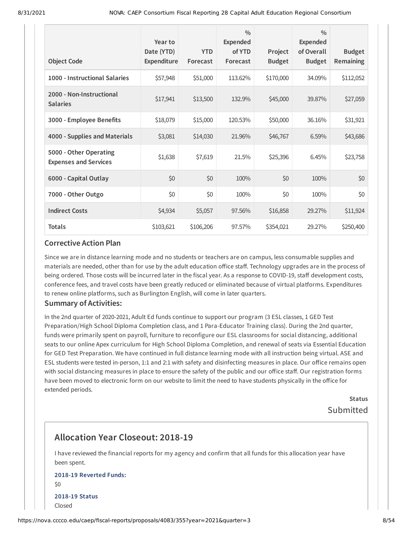|                                                        | Year to<br>Date (YTD) | <b>YTD</b> | $\frac{0}{0}$<br><b>Expended</b><br>of YTD | Project       | $\frac{0}{0}$<br><b>Expended</b><br>of Overall | <b>Budget</b> |
|--------------------------------------------------------|-----------------------|------------|--------------------------------------------|---------------|------------------------------------------------|---------------|
| <b>Object Code</b>                                     | Expenditure           | Forecast   | Forecast                                   | <b>Budget</b> | <b>Budget</b>                                  | Remaining     |
| 1000 - Instructional Salaries                          | \$57,948              | \$51,000   | 113.62%                                    | \$170,000     | 34.09%                                         | \$112,052     |
| 2000 - Non-Instructional<br><b>Salaries</b>            | \$17,941              | \$13,500   | 132.9%                                     | \$45,000      | 39.87%                                         | \$27,059      |
| 3000 - Employee Benefits                               | \$18,079              | \$15,000   | 120.53%                                    | \$50,000      | 36.16%                                         | \$31,921      |
| 4000 - Supplies and Materials                          | \$3,081               | \$14,030   | 21.96%                                     | \$46,767      | 6.59%                                          | \$43,686      |
| 5000 - Other Operating<br><b>Expenses and Services</b> | \$1,638               | \$7,619    | 21.5%                                      | \$25,396      | 6.45%                                          | \$23,758      |
| 6000 - Capital Outlay                                  | \$0                   | \$0        | 100%                                       | \$0           | 100%                                           | \$0           |
| 7000 - Other Outgo                                     | \$0                   | \$0        | 100%                                       | \$0           | 100%                                           | \$0           |
| <b>Indirect Costs</b>                                  | \$4,934               | \$5,057    | 97.56%                                     | \$16,858      | 29.27%                                         | \$11,924      |
| <b>Totals</b>                                          | \$103,621             | \$106,206  | 97.57%                                     | \$354,021     | 29.27%                                         | \$250,400     |

Since we are in distance learning mode and no students or teachers are on campus, less consumable supplies and materials are needed, other than for use by the adult education office staff. Technology upgrades are in the process of being ordered. Those costs will be incurred later in the fiscal year. As a response to COVID-19, staff development costs, conference fees, and travel costs have been greatly reduced or eliminated because of virtual platforms. Expenditures to renew online platforms, such as Burlington English, will come in later quarters.

#### **Summary of Activities:**

In the 2nd quarter of 2020-2021, Adult Ed funds continue to support our program (3 ESL classes, 1 GED Test Preparation/High School Diploma Completion class, and 1 Para-Educator Training class). During the 2nd quarter, funds were primarily spent on payroll, furniture to reconfigure our ESL classrooms for social distancing, additional seats to our online Apex curriculum for High School Diploma Completion, and renewal of seats via Essential Education for GED Test Preparation. We have continued in full distance learning mode with all instruction being virtual. ASE and ESL students were tested in-person, 1:1 and 2:1 with safety and disinfecting measures in place. Our office remains open with social distancing measures in place to ensure the safety of the public and our office staff. Our registration forms have been moved to electronic form on our website to limit the need to have students physically in the office for extended periods.

> **Status** Submitted

# **Allocation Year Closeout: 2018-19**

I have reviewed the financial reports for my agency and confirm that all funds for this allocation year have been spent.

### **2018-19 Reverted Funds:** \$0 **2018-19 Status** Closed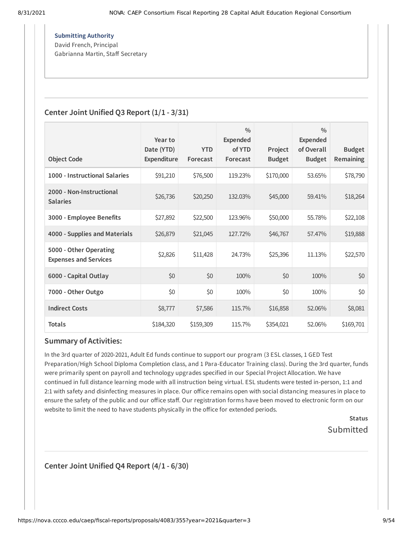**Submitting Authority** David French, Principal Gabrianna Martin, Staff Secretary

# **Center Joint Unified Q3 Report (1/1 - 3/31)**

|                                                        | Year to<br>Date (YTD) | <b>YTD</b> | $\frac{0}{0}$<br><b>Expended</b><br>of YTD | Project       | $\frac{0}{0}$<br><b>Expended</b><br>of Overall | <b>Budget</b>    |
|--------------------------------------------------------|-----------------------|------------|--------------------------------------------|---------------|------------------------------------------------|------------------|
| <b>Object Code</b>                                     | Expenditure           | Forecast   | Forecast                                   | <b>Budget</b> | <b>Budget</b>                                  | <b>Remaining</b> |
| 1000 - Instructional Salaries                          | \$91,210              | \$76,500   | 119.23%                                    | \$170,000     | 53.65%                                         | \$78,790         |
| 2000 - Non-Instructional<br><b>Salaries</b>            | \$26,736              | \$20,250   | 132.03%                                    | \$45,000      | 59.41%                                         | \$18,264         |
| 3000 - Employee Benefits                               | \$27,892              | \$22,500   | 123.96%                                    | \$50,000      | 55.78%                                         | \$22,108         |
| 4000 - Supplies and Materials                          | \$26,879              | \$21,045   | 127.72%                                    | \$46,767      | 57.47%                                         | \$19,888         |
| 5000 - Other Operating<br><b>Expenses and Services</b> | \$2,826               | \$11,428   | 24.73%                                     | \$25,396      | 11.13%                                         | \$22,570         |
| 6000 - Capital Outlay                                  | \$0                   | \$0        | 100%                                       | \$0           | 100%                                           | \$0              |
| 7000 - Other Outgo                                     | \$0                   | \$0        | 100%                                       | \$0           | 100%                                           | \$0              |
| <b>Indirect Costs</b>                                  | \$8,777               | \$7,586    | 115.7%                                     | \$16,858      | 52.06%                                         | \$8,081          |
| <b>Totals</b>                                          | \$184,320             | \$159,309  | 115.7%                                     | \$354,021     | 52.06%                                         | \$169,701        |

### **Summary of Activities:**

In the 3rd quarter of 2020-2021, Adult Ed funds continue to support our program (3 ESL classes, 1 GED Test Preparation/High School Diploma Completion class, and 1 Para-Educator Training class). During the 3rd quarter, funds were primarily spent on payroll and technology upgrades specified in our Special Project Allocation. We have continued in full distance learning mode with all instruction being virtual. ESL students were tested in-person, 1:1 and 2:1 with safety and disinfecting measures in place. Our office remains open with social distancing measures in place to ensure the safety of the public and our office staff. Our registration forms have been moved to electronic form on our website to limit the need to have students physically in the office for extended periods.

**Status** Submitted

**Center Joint Unified Q4 Report (4/1 - 6/30)**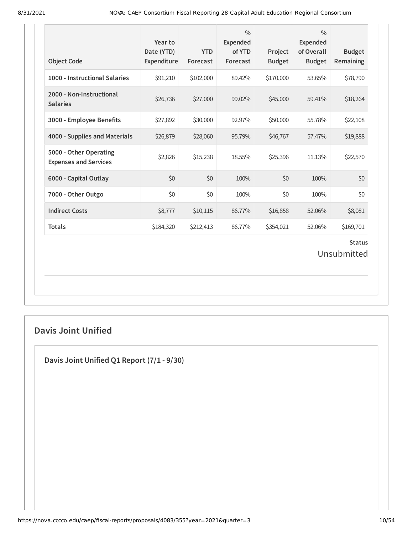| <b>Object Code</b>                                     | Year to<br>Date (YTD)<br>Expenditure | <b>YTD</b><br>Forecast | $\frac{0}{0}$<br>Expended<br>of YTD<br>Forecast | Project<br><b>Budget</b> | $\frac{0}{0}$<br>Expended<br>of Overall<br><b>Budget</b> | <b>Budget</b><br>Remaining   |
|--------------------------------------------------------|--------------------------------------|------------------------|-------------------------------------------------|--------------------------|----------------------------------------------------------|------------------------------|
| 1000 - Instructional Salaries                          | \$91,210                             | \$102,000              | 89.42%                                          | \$170,000                | 53.65%                                                   | \$78,790                     |
| 2000 - Non-Instructional<br><b>Salaries</b>            | \$26,736                             | \$27,000               | 99.02%                                          | \$45,000                 | 59.41%                                                   | \$18,264                     |
| 3000 - Employee Benefits                               | \$27,892                             | \$30,000               | 92.97%                                          | \$50,000                 | 55.78%                                                   | \$22,108                     |
| 4000 - Supplies and Materials                          | \$26,879                             | \$28,060               | 95.79%                                          | \$46,767                 | 57.47%                                                   | \$19,888                     |
| 5000 - Other Operating<br><b>Expenses and Services</b> | \$2,826                              | \$15,238               | 18.55%                                          | \$25,396                 | 11.13%                                                   | \$22,570                     |
| 6000 - Capital Outlay                                  | \$0                                  | \$0                    | 100%                                            | \$0                      | 100%                                                     | \$0                          |
| 7000 - Other Outgo                                     | \$0                                  | \$0                    | 100%                                            | \$0                      | 100%                                                     | \$0                          |
| <b>Indirect Costs</b>                                  | \$8,777                              | \$10,115               | 86.77%                                          | \$16,858                 | 52.06%                                                   | \$8,081                      |
| <b>Totals</b>                                          | \$184,320                            | \$212,413              | 86.77%                                          | \$354,021                | 52.06%                                                   | \$169,701                    |
|                                                        |                                      |                        |                                                 |                          |                                                          | <b>Status</b><br>Unsubmitted |

# **Davis Joint Unified**

**Davis Joint Unified Q1 Report (7/1 - 9/30)**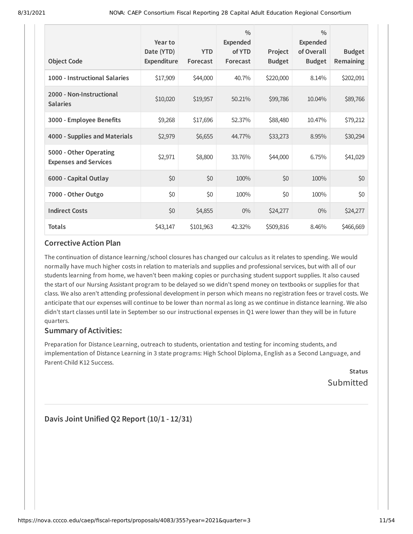| <b>Object Code</b>                                     | Year to<br>Date (YTD)<br>Expenditure | <b>YTD</b><br>Forecast | $\frac{0}{0}$<br><b>Expended</b><br>of YTD<br>Forecast | Project<br><b>Budget</b> | $\frac{0}{0}$<br><b>Expended</b><br>of Overall<br><b>Budget</b> | <b>Budget</b><br>Remaining |
|--------------------------------------------------------|--------------------------------------|------------------------|--------------------------------------------------------|--------------------------|-----------------------------------------------------------------|----------------------------|
| 1000 - Instructional Salaries                          | \$17,909                             | \$44,000               | 40.7%                                                  | \$220,000                | 8.14%                                                           | \$202,091                  |
| 2000 - Non-Instructional<br><b>Salaries</b>            | \$10,020                             | \$19,957               | 50.21%                                                 | \$99,786                 | 10.04%                                                          | \$89,766                   |
| 3000 - Employee Benefits                               | \$9,268                              | \$17,696               | 52.37%                                                 | \$88,480                 | 10.47%                                                          | \$79,212                   |
| 4000 - Supplies and Materials                          | \$2,979                              | \$6,655                | 44.77%                                                 | \$33,273                 | 8.95%                                                           | \$30,294                   |
| 5000 - Other Operating<br><b>Expenses and Services</b> | \$2,971                              | \$8,800                | 33.76%                                                 | \$44,000                 | 6.75%                                                           | \$41,029                   |
| 6000 - Capital Outlay                                  | \$0                                  | \$0                    | 100%                                                   | \$0                      | 100%                                                            | \$0                        |
| 7000 - Other Outgo                                     | \$0                                  | \$0                    | 100%                                                   | \$0                      | 100%                                                            | \$0                        |
| <b>Indirect Costs</b>                                  | \$0                                  | \$4,855                | $0\%$                                                  | \$24,277                 | $0\%$                                                           | \$24,277                   |
| <b>Totals</b>                                          | \$43,147                             | \$101,963              | 42.32%                                                 | \$509,816                | 8.46%                                                           | \$466,669                  |

The continuation of distance learning /school closures has changed our calculus as it relates to spending. We would normally have much higher costs in relation to materials and supplies and professional services, but with all of our students learning from home, we haven't been making copies or purchasing student support supplies. It also caused the start of our Nursing Assistant program to be delayed so we didn't spend money on textbooks or supplies for that class. We also aren't attending professional development in person which means no registration fees or travel costs. We anticipate that our expenses will continue to be lower than normal as long as we continue in distance learning. We also didn't start classes until late in September so our instructional expenses in Q1 were lower than they will be in future quarters.

### **Summary of Activities:**

Preparation for Distance Learning, outreach to students, orientation and testing for incoming students, and implementation of Distance Learning in 3 state programs: High School Diploma, English as a Second Language, and Parent-Child K12 Success.

**Status** Submitted

**Davis Joint Unified Q2 Report (10/1 - 12/31)**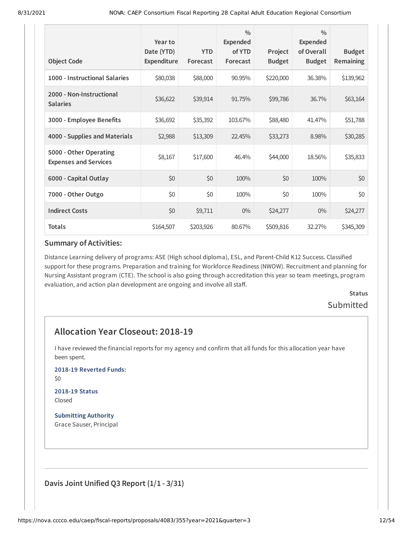| <b>Object Code</b>                                     | Year to<br>Date (YTD)<br>Expenditure | <b>YTD</b><br>Forecast | $\frac{0}{0}$<br><b>Expended</b><br>of YTD<br>Forecast | Project<br><b>Budget</b> | $\frac{0}{0}$<br><b>Expended</b><br>of Overall<br><b>Budget</b> | <b>Budget</b><br>Remaining |
|--------------------------------------------------------|--------------------------------------|------------------------|--------------------------------------------------------|--------------------------|-----------------------------------------------------------------|----------------------------|
|                                                        |                                      |                        |                                                        |                          |                                                                 |                            |
| 1000 - Instructional Salaries                          | \$80,038                             | \$88,000               | 90.95%                                                 | \$220,000                | 36.38%                                                          | \$139,962                  |
| 2000 - Non-Instructional<br><b>Salaries</b>            | \$36,622                             | \$39,914               | 91.75%                                                 | \$99,786                 | 36.7%                                                           | \$63,164                   |
| 3000 - Employee Benefits                               | \$36,692                             | \$35,392               | 103.67%                                                | \$88,480                 | 41.47%                                                          | \$51,788                   |
| 4000 - Supplies and Materials                          | \$2,988                              | \$13,309               | 22.45%                                                 | \$33,273                 | 8.98%                                                           | \$30,285                   |
| 5000 - Other Operating<br><b>Expenses and Services</b> | \$8,167                              | \$17,600               | 46.4%                                                  | \$44,000                 | 18.56%                                                          | \$35,833                   |
| 6000 - Capital Outlay                                  | \$0                                  | \$0                    | 100%                                                   | \$0                      | 100%                                                            | \$0                        |
| 7000 - Other Outgo                                     | \$0                                  | \$0                    | 100%                                                   | \$0                      | 100%                                                            | \$0                        |
| <b>Indirect Costs</b>                                  | \$0                                  | \$9,711                | $0\%$                                                  | \$24,277                 | $0\%$                                                           | \$24,277                   |
| <b>Totals</b>                                          | \$164,507                            | \$203,926              | 80.67%                                                 | \$509,816                | 32.27%                                                          | \$345,309                  |

Distance Learning delivery of programs: ASE (High school diploma), ESL, and Parent-Child K12 Success. Classified support for these programs. Preparation and training for Workforce Readiness (NWOW). Recruitment and planning for Nursing Assistant program (CTE). The school is also going through accreditation this year so team meetings, program evaluation, and action plan development are ongoing and involve all staff.

# **Status** Submitted

# **Allocation Year Closeout: 2018-19**

I have reviewed the financial reports for my agency and confirm that all funds for this allocation year have been spent.

**2018-19 Reverted Funds:**

\$0

#### **2018-19 Status** Closed

**Submitting Authority**

Grace Sauser, Principal

**Davis Joint Unified Q3 Report (1/1 - 3/31)**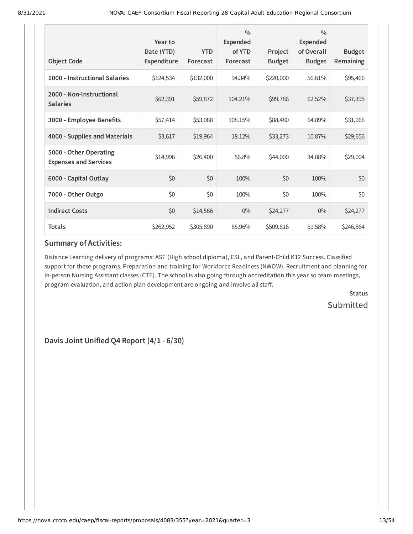| <b>Object Code</b>                                     | Year to<br>Date (YTD)<br>Expenditure | <b>YTD</b><br>Forecast | $\frac{0}{0}$<br>Expended<br>of YTD<br>Forecast | Project<br><b>Budget</b> | $\frac{0}{0}$<br><b>Expended</b><br>of Overall<br><b>Budget</b> | <b>Budget</b><br>Remaining |
|--------------------------------------------------------|--------------------------------------|------------------------|-------------------------------------------------|--------------------------|-----------------------------------------------------------------|----------------------------|
| 1000 - Instructional Salaries                          | \$124,534                            | \$132,000              | 94.34%                                          | \$220,000                | 56.61%                                                          | \$95,466                   |
| 2000 - Non-Instructional<br><b>Salaries</b>            | \$62,391                             | \$59,872               | 104.21%                                         | \$99,786                 | 62.52%                                                          | \$37,395                   |
| 3000 - Employee Benefits                               | \$57,414                             | \$53,088               | 108.15%                                         | \$88,480                 | 64.89%                                                          | \$31,066                   |
| 4000 - Supplies and Materials                          | \$3,617                              | \$19,964               | 18.12%                                          | \$33,273                 | 10.87%                                                          | \$29,656                   |
| 5000 - Other Operating<br><b>Expenses and Services</b> | \$14,996                             | \$26,400               | 56.8%                                           | \$44,000                 | 34.08%                                                          | \$29,004                   |
| 6000 - Capital Outlay                                  | \$0                                  | \$0                    | 100%                                            | \$0                      | 100%                                                            | \$0                        |
| 7000 - Other Outgo                                     | \$0                                  | \$0                    | 100%                                            | \$0                      | 100%                                                            | \$0                        |
| <b>Indirect Costs</b>                                  | \$0                                  | \$14,566               | $0\%$                                           | \$24,277                 | $0\%$                                                           | \$24,277                   |
| <b>Totals</b>                                          | \$262,952                            | \$305,890              | 85.96%                                          | \$509,816                | 51.58%                                                          | \$246,864                  |

Distance Learning delivery of programs: ASE (High school diploma), ESL, and Parent-Child K12 Success. Classified support for these programs. Preparation and training for Workforce Readiness (NWOW). Recruitment and planning for in-person Nursing Assistant classes (CTE). The school is also going through accreditation this year so team meetings, program evaluation, and action plan development are ongoing and involve all staff.

> **Status Submitted**

**Davis Joint Unified Q4 Report (4/1 - 6/30)**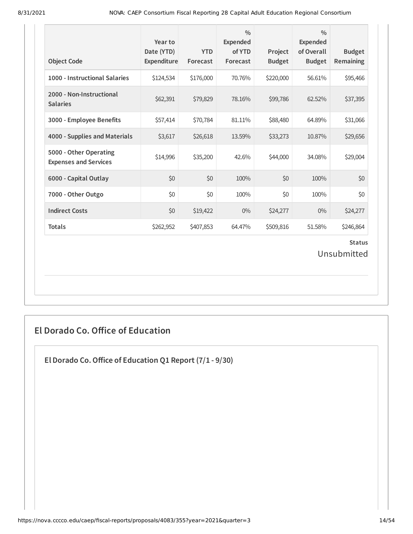| <b>Object Code</b>                                     | Year to<br>Date (YTD)<br>Expenditure | <b>YTD</b><br>Forecast | $\frac{0}{0}$<br>Expended<br>of YTD<br>Forecast | Project<br><b>Budget</b> | $\frac{0}{0}$<br>Expended<br>of Overall<br><b>Budget</b> | <b>Budget</b><br>Remaining |  |
|--------------------------------------------------------|--------------------------------------|------------------------|-------------------------------------------------|--------------------------|----------------------------------------------------------|----------------------------|--|
| 1000 - Instructional Salaries                          | \$124,534                            | \$176,000              | 70.76%                                          | \$220,000                | 56.61%                                                   | \$95,466                   |  |
| 2000 - Non-Instructional<br><b>Salaries</b>            | \$62,391                             | \$79,829               | 78.16%                                          | \$99,786                 | 62.52%                                                   | \$37,395                   |  |
| 3000 - Employee Benefits                               | \$57,414                             | \$70,784               | 81.11%                                          | \$88,480                 | 64.89%                                                   | \$31,066                   |  |
| 4000 - Supplies and Materials                          | \$3,617                              | \$26,618               | 13.59%                                          | \$33,273                 | 10.87%                                                   | \$29,656                   |  |
| 5000 - Other Operating<br><b>Expenses and Services</b> | \$14,996                             | \$35,200               | 42.6%                                           | \$44,000                 | 34.08%                                                   | \$29,004                   |  |
| 6000 - Capital Outlay                                  | \$0                                  | \$0                    | 100%                                            | \$0                      | 100%                                                     | \$0                        |  |
| 7000 - Other Outgo                                     | \$0                                  | \$0                    | 100%                                            | \$0                      | 100%                                                     | \$0                        |  |
| <b>Indirect Costs</b>                                  | \$0                                  | \$19,422               | $0\%$                                           | \$24,277                 | $0\%$                                                    | \$24,277                   |  |
| <b>Totals</b>                                          | \$262,952                            | \$407,853              | 64.47%                                          | \$509,816                | 51.58%                                                   | \$246,864                  |  |
| <b>Status</b><br>Unsubmitted                           |                                      |                        |                                                 |                          |                                                          |                            |  |

# **El Dorado Co. Office of Education**

**El Dorado Co.Office of Education Q1 Report (7/1 - 9/30)**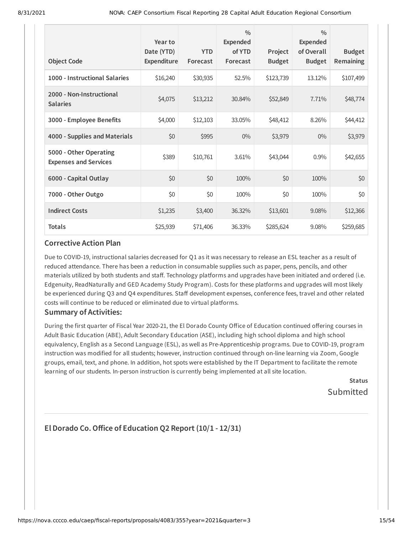| <b>Object Code</b>                                     | Year to<br>Date (YTD)<br><b>Expenditure</b> | <b>YTD</b><br>Forecast | $\frac{0}{0}$<br><b>Expended</b><br>of YTD<br>Forecast | Project<br><b>Budget</b> | $\frac{0}{0}$<br><b>Expended</b><br>of Overall<br><b>Budget</b> | <b>Budget</b><br>Remaining |
|--------------------------------------------------------|---------------------------------------------|------------------------|--------------------------------------------------------|--------------------------|-----------------------------------------------------------------|----------------------------|
| 1000 - Instructional Salaries                          | \$16,240                                    | \$30,935               | 52.5%                                                  | \$123,739                | 13.12%                                                          | \$107,499                  |
| 2000 - Non-Instructional<br><b>Salaries</b>            | \$4,075                                     | \$13,212               | 30.84%                                                 | \$52,849                 | 7.71%                                                           | \$48,774                   |
| 3000 - Employee Benefits                               | \$4,000                                     | \$12,103               | 33.05%                                                 | \$48,412                 | 8.26%                                                           | \$44,412                   |
| 4000 - Supplies and Materials                          | \$0                                         | \$995                  | $0\%$                                                  | \$3,979                  | $0\%$                                                           | \$3,979                    |
| 5000 - Other Operating<br><b>Expenses and Services</b> | \$389                                       | \$10,761               | 3.61%                                                  | \$43,044                 | 0.9%                                                            | \$42,655                   |
| 6000 - Capital Outlay                                  | \$0                                         | \$0                    | 100%                                                   | \$0                      | 100%                                                            | \$0                        |
| 7000 - Other Outgo                                     | \$0                                         | \$0                    | 100%                                                   | \$0                      | 100%                                                            | \$0                        |
| <b>Indirect Costs</b>                                  | \$1,235                                     | \$3,400                | 36.32%                                                 | \$13,601                 | 9.08%                                                           | \$12,366                   |
| <b>Totals</b>                                          | \$25,939                                    | \$71,406               | 36.33%                                                 | \$285,624                | 9.08%                                                           | \$259,685                  |

Due to COVID-19, instructional salaries decreased for Q1 as it was necessary to release an ESL teacher as a result of reduced attendance. There has been a reduction in consumable supplies such as paper, pens, pencils, and other materials utilized by both students and staff. Technology platforms and upgrades have been initiated and ordered (i.e. Edgenuity, ReadNaturally and GED Academy Study Program). Costs for these platforms and upgrades will most likely be experienced during Q3 and Q4 expenditures. Staff development expenses, conference fees, travel and other related costs will continue to be reduced or eliminated due to virtual platforms.

### **Summary of Activities:**

During the first quarter of Fiscal Year 2020-21, the El Dorado County Office of Education continued offering courses in Adult Basic Education (ABE), Adult Secondary Education (ASE), including high school diploma and high school equivalency, English as a Second Language (ESL), as well as Pre-Apprenticeship programs. Due to COVID-19, program instruction was modified for all students; however, instruction continued through on-line learning via Zoom, Google groups, email, text, and phone. In addition, hot spots were established by the IT Department to facilitate the remote learning of our students. In-person instruction is currently being implemented at all site location.

> **Status** Submitted

# **El Dorado Co.Office of Education Q2 Report (10/1 - 12/31)**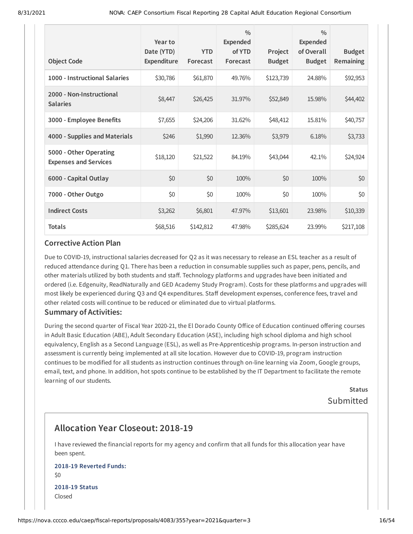| <b>Object Code</b>                                     | Year to<br>Date (YTD)<br><b>Expenditure</b> | <b>YTD</b><br>Forecast | $\frac{0}{0}$<br>Expended<br>of YTD<br>Forecast | Project<br><b>Budget</b> | $\frac{0}{0}$<br>Expended<br>of Overall<br><b>Budget</b> | <b>Budget</b><br>Remaining |
|--------------------------------------------------------|---------------------------------------------|------------------------|-------------------------------------------------|--------------------------|----------------------------------------------------------|----------------------------|
| 1000 - Instructional Salaries                          | \$30,786                                    | \$61,870               | 49.76%                                          | \$123,739                | 24.88%                                                   | \$92,953                   |
| 2000 - Non-Instructional<br><b>Salaries</b>            | \$8,447                                     | \$26,425               | 31.97%                                          | \$52,849                 | 15.98%                                                   | \$44,402                   |
| 3000 - Employee Benefits                               | \$7,655                                     | \$24,206               | 31.62%                                          | \$48,412                 | 15.81%                                                   | \$40,757                   |
| 4000 - Supplies and Materials                          | \$246                                       | \$1,990                | 12.36%                                          | \$3,979                  | 6.18%                                                    | \$3,733                    |
| 5000 - Other Operating<br><b>Expenses and Services</b> | \$18,120                                    | \$21,522               | 84.19%                                          | \$43,044                 | 42.1%                                                    | \$24,924                   |
| 6000 - Capital Outlay                                  | \$0                                         | \$0                    | 100%                                            | \$0                      | 100%                                                     | \$0                        |
| 7000 - Other Outgo                                     | \$0                                         | \$0                    | 100%                                            | \$0                      | 100%                                                     | \$0                        |
| <b>Indirect Costs</b>                                  | \$3,262                                     | \$6,801                | 47.97%                                          | \$13,601                 | 23.98%                                                   | \$10,339                   |
| <b>Totals</b>                                          | \$68,516                                    | \$142,812              | 47.98%                                          | \$285,624                | 23.99%                                                   | \$217,108                  |

Due to COVID-19, instructional salaries decreased for Q2 as it was necessary to release an ESL teacher as a result of reduced attendance during Q1. There has been a reduction in consumable supplies such as paper, pens, pencils, and other materials utilized by both students and staff. Technology platforms and upgrades have been initiated and ordered (i.e. Edgenuity, ReadNaturally and GED Academy Study Program). Costs for these platforms and upgrades will most likely be experienced during Q3 and Q4 expenditures. Staff development expenses, conference fees, travel and other related costs will continue to be reduced or eliminated due to virtual platforms.

#### **Summary of Activities:**

During the second quarter of Fiscal Year 2020-21, the El Dorado County Office of Education continued offering courses in Adult Basic Education (ABE), Adult Secondary Education (ASE), including high school diploma and high school equivalency, English as a Second Language (ESL), as well as Pre-Apprenticeship programs. In-person instruction and assessment is currently being implemented at all site location. However due to COVID-19, program instruction continues to be modified for all students as instruction continues through on-line learning via Zoom, Google groups, email, text, and phone. In addition, hot spots continue to be established by the IT Department to facilitate the remote learning of our students.

> **Status** Submitted

# **Allocation Year Closeout: 2018-19**

I have reviewed the financial reports for my agency and confirm that all funds for this allocation year have been spent.

#### **2018-19 Reverted Funds:** \$0

**2018-19 Status** Closed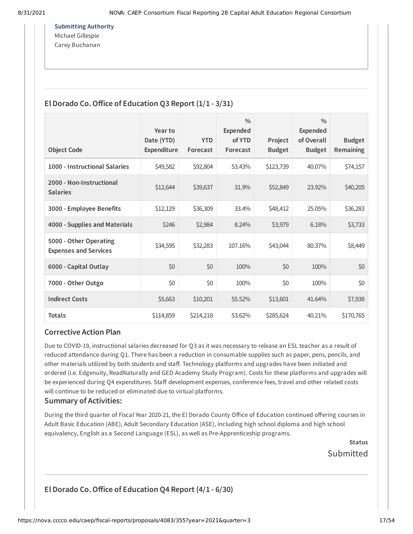**Submitting Authority** Michael Gillespie Carey Buchanan

# **El Dorado Co.Office of Education Q3 Report (1/1 - 3/31)**

|                                                        | Year to                   |                        | $\frac{0}{0}$<br><b>Expended</b> |                          | $\frac{0}{0}$<br>Expended   |                            |
|--------------------------------------------------------|---------------------------|------------------------|----------------------------------|--------------------------|-----------------------------|----------------------------|
| <b>Object Code</b>                                     | Date (YTD)<br>Expenditure | <b>YTD</b><br>Forecast | of YTD<br>Forecast               | Project<br><b>Budget</b> | of Overall<br><b>Budget</b> | <b>Budget</b><br>Remaining |
| 1000 - Instructional Salaries                          | \$49,582                  | \$92,804               | 53.43%                           | \$123,739                | 40.07%                      | \$74,157                   |
| 2000 - Non-Instructional<br><b>Salaries</b>            | \$12,644                  | \$39,637               | 31.9%                            | \$52,849                 | 23.92%                      | \$40,205                   |
| 3000 - Employee Benefits                               | \$12,129                  | \$36,309               | 33.4%                            | \$48,412                 | 25.05%                      | \$36,283                   |
| 4000 - Supplies and Materials                          | \$246                     | \$2,984                | 8.24%                            | \$3,979                  | 6.18%                       | \$3,733                    |
| 5000 - Other Operating<br><b>Expenses and Services</b> | \$34,595                  | \$32,283               | 107.16%                          | \$43,044                 | 80.37%                      | \$8,449                    |
| 6000 - Capital Outlay                                  | \$0                       | \$0                    | 100%                             | \$0                      | 100%                        | \$0                        |
| 7000 - Other Outgo                                     | \$0                       | \$0                    | 100%                             | \$0                      | 100%                        | \$0                        |
| <b>Indirect Costs</b>                                  | \$5,663                   | \$10,201               | 55.52%                           | \$13,601                 | 41.64%                      | \$7,938                    |
| <b>Totals</b>                                          | \$114,859                 | \$214,218              | 53.62%                           | \$285,624                | 40.21%                      | \$170,765                  |

### **Corrective Action Plan**

Due to COVID-19, instructional salaries decreased for Q3 as it was necessary to release an ESL teacher as a result of reduced attendance during Q1. There has been a reduction in consumable supplies such as paper, pens, pencils, and other materials utilized by both students and staff. Technology platforms and upgrades have been initiated and ordered (i.e. Edgenuity, ReadNaturally and GED Academy Study Program). Costs for these platforms and upgrades will be experienced during Q4 expenditures. Staff development expenses, conference fees, travel and other related costs will continue to be reduced or eliminated due to virtual platforms.

### **Summary of Activities:**

During the third quarter of Fiscal Year 2020-21, the El Dorado County Office of Education continued offering courses in Adult Basic Education (ABE), Adult Secondary Education (ASE), including high school diploma and high school equivalency, English as a Second Language (ESL), as well as Pre-Apprenticeship programs.

**Status**

Submitted

**El Dorado Co.Office of Education Q4 Report (4/1 - 6/30)**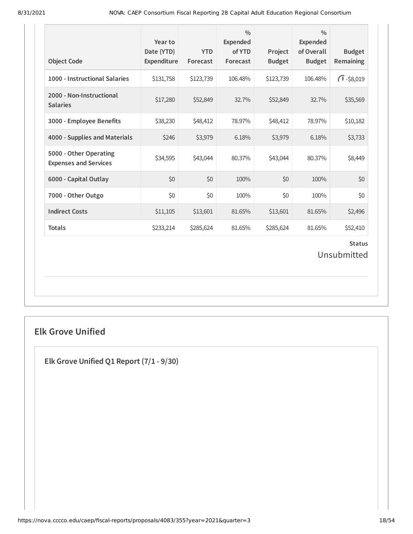| 1000 - Instructional Salaries                          | \$131,758 |           | Forecast | <b>Budget</b> | of Overall<br><b>Budget</b> | <b>Budget</b><br>Remaining   |
|--------------------------------------------------------|-----------|-----------|----------|---------------|-----------------------------|------------------------------|
|                                                        |           | \$123,739 | 106.48%  | \$123,739     | 106.48%                     | $\sqrt{1} - $8,019$          |
| 2000 - Non-Instructional<br><b>Salaries</b>            | \$17,280  | \$52,849  | 32.7%    | \$52,849      | 32.7%                       | \$35,569                     |
| 3000 - Employee Benefits                               | \$38,230  | \$48,412  | 78.97%   | \$48,412      | 78.97%                      | \$10,182                     |
| 4000 - Supplies and Materials                          | \$246     | \$3,979   | 6.18%    | \$3,979       | 6.18%                       | \$3,733                      |
| 5000 - Other Operating<br><b>Expenses and Services</b> | \$34,595  | \$43,044  | 80.37%   | \$43,044      | 80.37%                      | \$8,449                      |
| 6000 - Capital Outlay                                  | \$0       | \$0       | 100%     | \$0           | 100%                        | \$0                          |
| 7000 - Other Outgo                                     | \$0       | \$0       | 100%     | \$0           | 100%                        | \$0                          |
| <b>Indirect Costs</b>                                  | \$11,105  | \$13,601  | 81.65%   | \$13,601      | 81.65%                      | \$2,496                      |
| <b>Totals</b>                                          | \$233,214 | \$285,624 | 81.65%   | \$285,624     | 81.65%                      | \$52,410                     |
|                                                        |           |           |          |               |                             | <b>Status</b><br>Unsubmitted |

# **Elk Grove Unified**

**Elk Grove Unified Q1 Report (7/1 - 9/30)**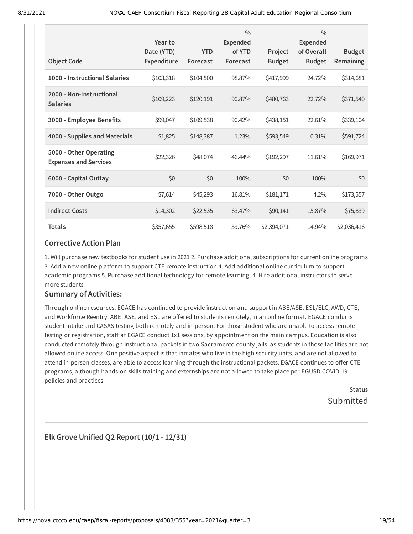| <b>Object Code</b>                                     | Year to<br>Date (YTD)<br>Expenditure | <b>YTD</b><br>Forecast | $\frac{0}{0}$<br><b>Expended</b><br>of YTD<br>Forecast | Project<br><b>Budget</b> | $\frac{0}{0}$<br>Expended<br>of Overall<br><b>Budget</b> | <b>Budget</b><br>Remaining |
|--------------------------------------------------------|--------------------------------------|------------------------|--------------------------------------------------------|--------------------------|----------------------------------------------------------|----------------------------|
| 1000 - Instructional Salaries                          | \$103,318                            | \$104,500              | 98.87%                                                 | \$417,999                | 24.72%                                                   | \$314,681                  |
| 2000 - Non-Instructional<br><b>Salaries</b>            | \$109,223                            | \$120,191              | 90.87%                                                 | \$480,763                | 22.72%                                                   | \$371,540                  |
| 3000 - Employee Benefits                               | \$99,047                             | \$109,538              | 90.42%                                                 | \$438,151                | 22.61%                                                   | \$339,104                  |
| 4000 - Supplies and Materials                          | \$1,825                              | \$148,387              | 1.23%                                                  | \$593,549                | 0.31%                                                    | \$591,724                  |
| 5000 - Other Operating<br><b>Expenses and Services</b> | \$22,326                             | \$48,074               | 46.44%                                                 | \$192,297                | 11.61%                                                   | \$169,971                  |
| 6000 - Capital Outlay                                  | \$0                                  | \$0                    | 100%                                                   | \$0                      | 100%                                                     | \$0                        |
| 7000 - Other Outgo                                     | \$7,614                              | \$45,293               | 16.81%                                                 | \$181,171                | 4.2%                                                     | \$173,557                  |
| <b>Indirect Costs</b>                                  | \$14,302                             | \$22,535               | 63.47%                                                 | \$90,141                 | 15.87%                                                   | \$75,839                   |
| <b>Totals</b>                                          | \$357,655                            | \$598,518              | 59.76%                                                 | \$2,394,071              | 14.94%                                                   | \$2,036,416                |

1. Will purchase new textbooks for student use in 2021 2. Purchase additional subscriptions for current online programs 3. Add a new online platform to support CTE remote instruction 4. Add additional online curriculum to support academic programs 5. Purchase additional technology for remote learning. 4. Hire additional instructors to serve more students

### **Summary of Activities:**

Through online resources, EGACE has continued to provide instruction and support in ABE/ASE, ESL/ELC, AWD, CTE, and Workforce Reentry. ABE, ASE, and ESL are offered to students remotely, in an online format. EGACE conducts student intake and CASAS testing both remotely and in-person. For those student who are unable to access remote testing or registration, staff at EGACE conduct 1x1 sessions, by appointment on the main campus. Education is also conducted remotely through instructional packets in two Sacramento county jails, as students in those facilities are not allowed online access. One positive aspect is that inmates who live in the high security units, and are not allowed to attend in-person classes, are able to access learning through the instructional packets. EGACE continues to offer CTE programs, although hands-on skills training and externships are not allowed to take place per EGUSD COVID-19 policies and practices

> **Status** Submitted

**Elk Grove Unified Q2 Report (10/1 - 12/31)**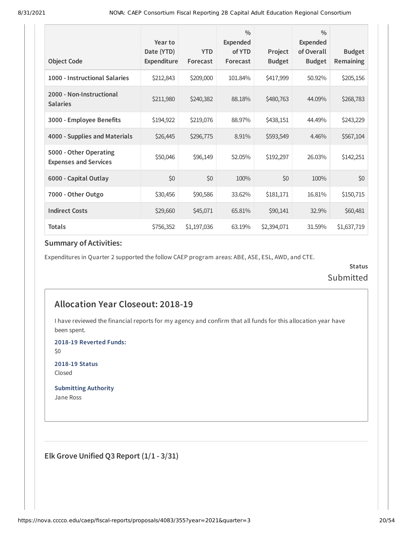|                                                        | Year to                          |                        | $\frac{0}{0}$<br><b>Expended</b> |                          | $\frac{0}{0}$<br><b>Expended</b> |                            |
|--------------------------------------------------------|----------------------------------|------------------------|----------------------------------|--------------------------|----------------------------------|----------------------------|
| <b>Object Code</b>                                     | Date (YTD)<br><b>Expenditure</b> | <b>YTD</b><br>Forecast | of YTD<br>Forecast               | Project<br><b>Budget</b> | of Overall<br><b>Budget</b>      | <b>Budget</b><br>Remaining |
| 1000 - Instructional Salaries                          | \$212,843                        | \$209,000              | 101.84%                          | \$417,999                | 50.92%                           | \$205,156                  |
| 2000 - Non-Instructional<br><b>Salaries</b>            | \$211,980                        | \$240,382              | 88.18%                           | \$480,763                | 44.09%                           | \$268,783                  |
| 3000 - Employee Benefits                               | \$194,922                        | \$219,076              | 88.97%                           | \$438,151                | 44.49%                           | \$243,229                  |
| 4000 - Supplies and Materials                          | \$26,445                         | \$296,775              | 8.91%                            | \$593,549                | 4.46%                            | \$567,104                  |
| 5000 - Other Operating<br><b>Expenses and Services</b> | \$50,046                         | \$96,149               | 52.05%                           | \$192,297                | 26.03%                           | \$142,251                  |
| 6000 - Capital Outlay                                  | \$0                              | \$0                    | 100%                             | \$0                      | 100%                             | \$0                        |
| 7000 - Other Outgo                                     | \$30,456                         | \$90,586               | 33.62%                           | \$181,171                | 16.81%                           | \$150,715                  |
| <b>Indirect Costs</b>                                  | \$29,660                         | \$45,071               | 65.81%                           | \$90,141                 | 32.9%                            | \$60,481                   |
| <b>Totals</b>                                          | \$756,352                        | \$1,197,036            | 63.19%                           | \$2,394,071              | 31.59%                           | \$1,637,719                |

Expenditures in Quarter 2 supported the follow CAEP program areas: ABE, ASE, ESL, AWD, and CTE.

**Status** Submitted

# **Allocation Year Closeout: 2018-19**

I have reviewed the financial reports for my agency and confirm that all funds for this allocation year have been spent.

**2018-19 Reverted Funds:**

\$0

**2018-19 Status** Closed

**Submitting Authority** Jane Ross

**Elk Grove Unified Q3 Report (1/1 - 3/31)**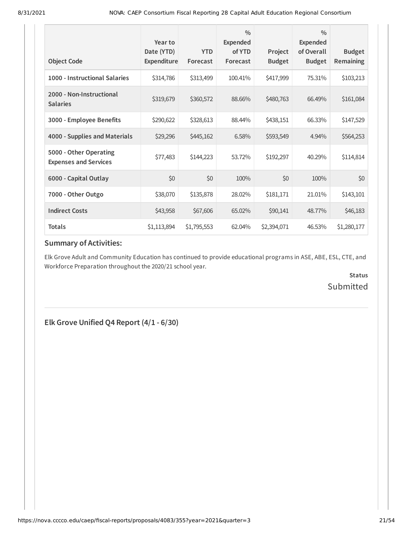| <b>Object Code</b>                                     | Year to<br>Date (YTD)<br>Expenditure | <b>YTD</b><br>Forecast | $\frac{0}{0}$<br><b>Expended</b><br>of YTD<br>Forecast | Project<br><b>Budget</b> | $\frac{0}{0}$<br><b>Expended</b><br>of Overall<br><b>Budget</b> | <b>Budget</b><br>Remaining |
|--------------------------------------------------------|--------------------------------------|------------------------|--------------------------------------------------------|--------------------------|-----------------------------------------------------------------|----------------------------|
| 1000 - Instructional Salaries                          | \$314,786                            | \$313,499              | 100.41%                                                | \$417,999                | 75.31%                                                          | \$103,213                  |
| 2000 - Non-Instructional<br><b>Salaries</b>            | \$319,679                            | \$360,572              | 88.66%                                                 | \$480,763                | 66.49%                                                          | \$161,084                  |
| 3000 - Employee Benefits                               | \$290,622                            | \$328,613              | 88.44%                                                 | \$438,151                | 66.33%                                                          | \$147,529                  |
| 4000 - Supplies and Materials                          | \$29,296                             | \$445,162              | 6.58%                                                  | \$593,549                | 4.94%                                                           | \$564,253                  |
| 5000 - Other Operating<br><b>Expenses and Services</b> | \$77,483                             | \$144,223              | 53.72%                                                 | \$192,297                | 40.29%                                                          | \$114,814                  |
| 6000 - Capital Outlay                                  | \$0                                  | \$0                    | 100%                                                   | \$0                      | 100%                                                            | \$0                        |
| 7000 - Other Outgo                                     | \$38,070                             | \$135,878              | 28.02%                                                 | \$181,171                | 21.01%                                                          | \$143,101                  |
| <b>Indirect Costs</b>                                  | \$43,958                             | \$67,606               | 65.02%                                                 | \$90,141                 | 48.77%                                                          | \$46,183                   |
| <b>Totals</b>                                          | \$1,113,894                          | \$1,795,553            | 62.04%                                                 | \$2,394,071              | 46.53%                                                          | \$1,280,177                |

Elk Grove Adult and Community Education has continued to provide educational programs in ASE, ABE, ESL, CTE, and Workforce Preparation throughout the 2020/21 school year.

> **Status** Submitted

**Elk Grove Unified Q4 Report (4/1 - 6/30)**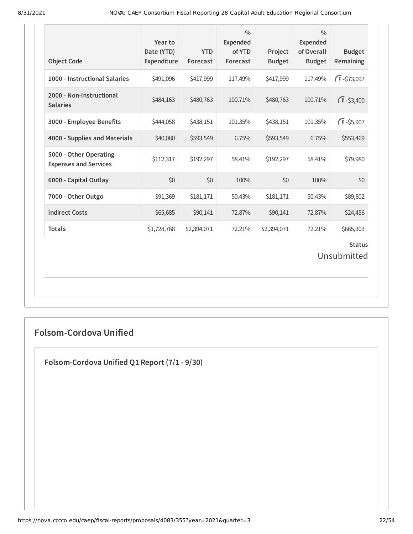| <b>Object Code</b>                                     | Year to<br>Date (YTD)<br>Expenditure | <b>YTD</b><br>Forecast | $\frac{0}{0}$<br><b>Expended</b><br>of YTD<br>Forecast | Project<br><b>Budget</b> | $\frac{0}{0}$<br><b>Expended</b><br>of Overall<br><b>Budget</b> | <b>Budget</b><br>Remaining   |
|--------------------------------------------------------|--------------------------------------|------------------------|--------------------------------------------------------|--------------------------|-----------------------------------------------------------------|------------------------------|
| 1000 - Instructional Salaries                          | \$491,096                            | \$417,999              | 117.49%                                                | \$417,999                | 117.49%                                                         | $\sqrt{1} - $73,097$         |
| 2000 - Non-Instructional<br><b>Salaries</b>            | \$484,163                            | \$480,763              | 100.71%                                                | \$480,763                | 100.71%                                                         | $\sqrt{1} - $3,400$          |
| 3000 - Employee Benefits                               | \$444,058                            | \$438,151              | 101.35%                                                | \$438,151                | 101.35%                                                         | $\sqrt{1} - $5,907$          |
| 4000 - Supplies and Materials                          | \$40,080                             | \$593,549              | 6.75%                                                  | \$593,549                | 6.75%                                                           | \$553,469                    |
| 5000 - Other Operating<br><b>Expenses and Services</b> | \$112,317                            | \$192,297              | 58.41%                                                 | \$192,297                | 58.41%                                                          | \$79,980                     |
| 6000 - Capital Outlay                                  | \$0                                  | \$0                    | 100%                                                   | \$0                      | 100%                                                            | \$0                          |
| 7000 - Other Outgo                                     | \$91,369                             | \$181,171              | 50.43%                                                 | \$181,171                | 50.43%                                                          | \$89,802                     |
| <b>Indirect Costs</b>                                  | \$65,685                             | \$90,141               | 72.87%                                                 | \$90,141                 | 72.87%                                                          | \$24,456                     |
| <b>Totals</b>                                          | \$1,728,768                          | \$2,394,071            | 72.21%                                                 | \$2,394,071              | 72.21%                                                          | \$665,303                    |
|                                                        |                                      |                        |                                                        |                          |                                                                 | <b>Status</b><br>Unsubmitted |

# **Folsom-Cordova Unified**

**Folsom-Cordova Unified Q1 Report (7/1 - 9/30)**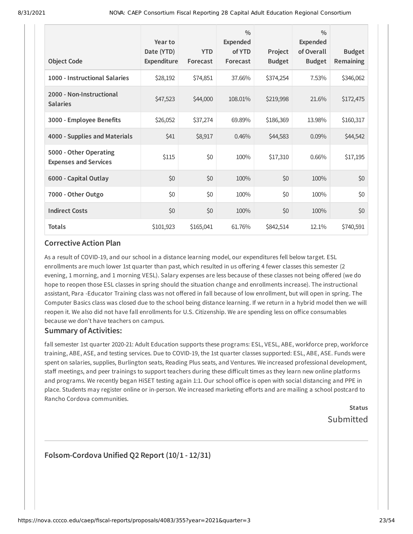| <b>Object Code</b>                                     | Year to<br>Date (YTD)<br>Expenditure | <b>YTD</b><br>Forecast | $\frac{0}{0}$<br><b>Expended</b><br>of YTD<br>Forecast | Project<br><b>Budget</b> | $\frac{0}{0}$<br>Expended<br>of Overall<br><b>Budget</b> | <b>Budget</b><br><b>Remaining</b> |
|--------------------------------------------------------|--------------------------------------|------------------------|--------------------------------------------------------|--------------------------|----------------------------------------------------------|-----------------------------------|
| 1000 - Instructional Salaries                          | \$28,192                             | \$74,851               | 37.66%                                                 | \$374,254                | 7.53%                                                    | \$346,062                         |
| 2000 - Non-Instructional<br><b>Salaries</b>            | \$47,523                             | \$44,000               | 108.01%                                                | \$219,998                | 21.6%                                                    | \$172,475                         |
| 3000 - Employee Benefits                               | \$26,052                             | \$37,274               | 69.89%                                                 | \$186,369                | 13.98%                                                   | \$160,317                         |
| 4000 - Supplies and Materials                          | \$41                                 | \$8,917                | 0.46%                                                  | \$44,583                 | 0.09%                                                    | \$44,542                          |
| 5000 - Other Operating<br><b>Expenses and Services</b> | \$115                                | \$0                    | 100%                                                   | \$17,310                 | 0.66%                                                    | \$17,195                          |
| 6000 - Capital Outlay                                  | \$0                                  | \$0                    | 100%                                                   | \$0                      | 100%                                                     | \$0                               |
| 7000 - Other Outgo                                     | \$0                                  | \$0                    | 100%                                                   | \$0                      | 100%                                                     | \$0                               |
| <b>Indirect Costs</b>                                  | \$0                                  | \$0                    | 100%                                                   | \$0                      | 100%                                                     | \$0                               |
| <b>Totals</b>                                          | \$101,923                            | \$165,041              | 61.76%                                                 | \$842,514                | 12.1%                                                    | \$740,591                         |

As a result of COVID-19, and our school in a distance learning model, our expenditures fell below target. ESL enrollments are much lower 1st quarter than past, which resulted in us offering 4 fewer classes this semester (2 evening, 1 morning, and 1 morning VESL). Salary expenses are less because of these classes not being offered (we do hope to reopen those ESL classes in spring should the situation change and enrollments increase). The instructional assistant, Para -Educator Training class was not offered in fall because of low enrollment, but will open in spring. The Computer Basics class was closed due to the school being distance learning. If we return in a hybrid model then we will reopen it. We also did not have fall enrollments for U.S. Citizenship. We are spending less on office consumables because we don't have teachers on campus.

#### **Summary of Activities:**

fall semester 1st quarter 2020-21: Adult Education supports these programs: ESL, VESL, ABE, workforce prep, workforce training, ABE, ASE, and testing services. Due to COVID-19, the 1st quarter classes supported: ESL, ABE, ASE. Funds were spent on salaries, supplies, Burlington seats, Reading Plus seats, and Ventures. We increased professional development, staff meetings, and peer trainings to support teachers during these difficult times as they learn new online platforms and programs. We recently began HiSET testing again 1:1. Our school office is open with social distancing and PPE in place. Students may register online or in-person. We increased marketing efforts and are mailing a school postcard to Rancho Cordova communities.

# **Status** Submitted

### **Folsom-Cordova Unified Q2 Report (10/1 - 12/31)**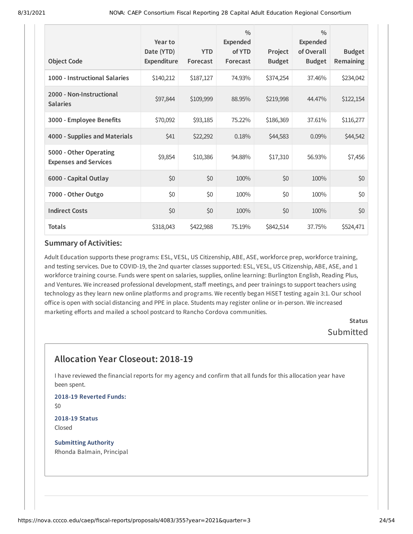| <b>Object Code</b>                                     | Year to<br>Date (YTD)<br>Expenditure | <b>YTD</b><br>Forecast | $\frac{0}{0}$<br><b>Expended</b><br>of YTD<br>Forecast | Project<br><b>Budget</b> | $\frac{0}{0}$<br>Expended<br>of Overall<br><b>Budget</b> | <b>Budget</b><br>Remaining |
|--------------------------------------------------------|--------------------------------------|------------------------|--------------------------------------------------------|--------------------------|----------------------------------------------------------|----------------------------|
| 1000 - Instructional Salaries                          | \$140,212                            | \$187,127              | 74.93%                                                 | \$374,254                | 37.46%                                                   | \$234,042                  |
| 2000 - Non-Instructional<br><b>Salaries</b>            | \$97,844                             | \$109,999              | 88.95%                                                 | \$219,998                | 44.47%                                                   | \$122,154                  |
| 3000 - Employee Benefits                               | \$70,092                             | \$93,185               | 75.22%                                                 | \$186,369                | 37.61%                                                   | \$116,277                  |
| 4000 - Supplies and Materials                          | \$41                                 | \$22,292               | 0.18%                                                  | \$44,583                 | 0.09%                                                    | \$44,542                   |
| 5000 - Other Operating<br><b>Expenses and Services</b> | \$9,854                              | \$10,386               | 94.88%                                                 | \$17,310                 | 56.93%                                                   | \$7,456                    |
| 6000 - Capital Outlay                                  | \$0                                  | \$0                    | 100%                                                   | \$0                      | 100%                                                     | \$0                        |
| 7000 - Other Outgo                                     | \$0                                  | \$0                    | 100%                                                   | \$0                      | 100%                                                     | \$0                        |
| <b>Indirect Costs</b>                                  | \$0                                  | \$0                    | 100%                                                   | \$0                      | 100%                                                     | \$0                        |
| <b>Totals</b>                                          | \$318,043                            | \$422,988              | 75.19%                                                 | \$842,514                | 37.75%                                                   | \$524,471                  |

Adult Education supports these programs: ESL, VESL, US Citizenship, ABE, ASE, workforce prep, workforce training, and testing services. Due to COVID-19, the 2nd quarter classes supported: ESL, VESL, US Citizenship, ABE, ASE, and 1 workforce training course. Funds were spent on salaries, supplies, online learning: Burlington English, Reading Plus, and Ventures. We increased professional development, staff meetings, and peer trainings to support teachers using technology as they learn new online platforms and programs. We recently began HiSET testing again 3:1. Our school office is open with social distancing and PPE in place. Students may register online or in-person. We increased marketing efforts and mailed a school postcard to Rancho Cordova communities.

> **Status** Submitted

# **Allocation Year Closeout: 2018-19**

I have reviewed the financial reports for my agency and confirm that all funds for this allocation year have been spent.

**2018-19 Reverted Funds:** \$0

**2018-19 Status** Closed

**Submitting Authority** Rhonda Balmain, Principal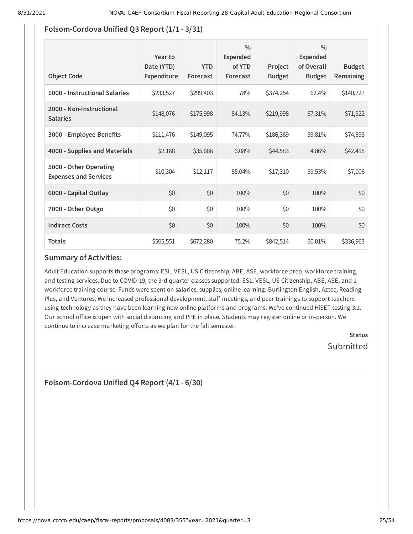# **Folsom-Cordova Unified Q3 Report (1/1 - 3/31)**

| <b>Object Code</b>                                     | Year to<br>Date (YTD)<br><b>Expenditure</b> | <b>YTD</b><br>Forecast | $\frac{0}{0}$<br>Expended<br>of YTD<br>Forecast | Project<br><b>Budget</b> | $\frac{0}{0}$<br>Expended<br>of Overall<br><b>Budget</b> | <b>Budget</b><br><b>Remaining</b> |
|--------------------------------------------------------|---------------------------------------------|------------------------|-------------------------------------------------|--------------------------|----------------------------------------------------------|-----------------------------------|
| 1000 - Instructional Salaries                          | \$233,527                                   | \$299,403              | 78%                                             | \$374,254                | 62.4%                                                    | \$140,727                         |
| 2000 - Non-Instructional<br><b>Salaries</b>            | \$148,076                                   | \$175,998              | 84.13%                                          | \$219,998                | 67.31%                                                   | \$71,922                          |
| 3000 - Employee Benefits                               | \$111,476                                   | \$149,095              | 74.77%                                          | \$186,369                | 59.81%                                                   | \$74,893                          |
| 4000 - Supplies and Materials                          | \$2,168                                     | \$35,666               | 6.08%                                           | \$44,583                 | 4.86%                                                    | \$42,415                          |
| 5000 - Other Operating<br><b>Expenses and Services</b> | \$10,304                                    | \$12,117               | 85.04%                                          | \$17,310                 | 59.53%                                                   | \$7,006                           |
| 6000 - Capital Outlay                                  | \$0                                         | \$0                    | 100%                                            | \$0                      | 100%                                                     | \$0                               |
| 7000 - Other Outgo                                     | \$0                                         | \$0                    | 100%                                            | \$0                      | 100%                                                     | \$0                               |
| <b>Indirect Costs</b>                                  | \$0                                         | \$0                    | 100%                                            | \$0                      | 100%                                                     | \$0                               |
| <b>Totals</b>                                          | \$505,551                                   | \$672,280              | 75.2%                                           | \$842,514                | 60.01%                                                   | \$336,963                         |

### **Summary of Activities:**

Adult Education supports these programs: ESL, VESL, US Citizenship, ABE, ASE, workforce prep, workforce training, and testing services. Due to COVID-19, the 3rd quarter classes supported: ESL, VESL, US Citizenship, ABE, ASE, and 1 workforce training course. Funds were spent on salaries, supplies, online learning: Burlington English, Aztec, Reading Plus, and Ventures. We increased professional development, staff meetings, and peer trainings to support teachers using technology as they have been learning new online platforms and programs. We've continued HiSET testing 3:1. Our school office is open with social distancing and PPE in place. Students may register online or in-person. We continue to increase marketing efforts as we plan for the fall semester.

> **Status** Submitted

**Folsom-Cordova Unified Q4 Report (4/1 - 6/30)**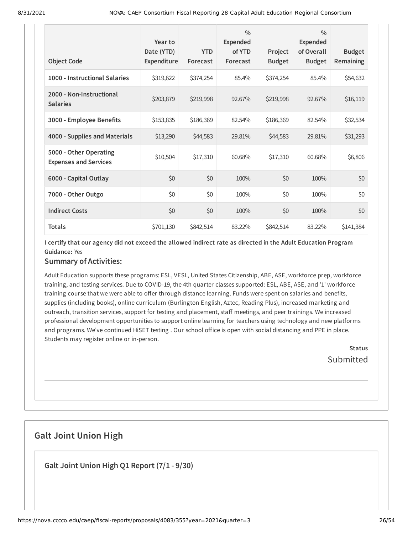| <b>Object Code</b>                                     | Year to<br>Date (YTD)<br>Expenditure | <b>YTD</b><br>Forecast | $\frac{0}{0}$<br><b>Expended</b><br>of YTD<br>Forecast | Project<br><b>Budget</b> | $\frac{0}{0}$<br><b>Expended</b><br>of Overall<br><b>Budget</b> | <b>Budget</b><br>Remaining |
|--------------------------------------------------------|--------------------------------------|------------------------|--------------------------------------------------------|--------------------------|-----------------------------------------------------------------|----------------------------|
| 1000 - Instructional Salaries                          | \$319,622                            | \$374,254              | 85.4%                                                  | \$374,254                | 85.4%                                                           | \$54,632                   |
| 2000 - Non-Instructional<br><b>Salaries</b>            | \$203,879                            | \$219,998              | 92.67%                                                 | \$219,998                | 92.67%                                                          | \$16,119                   |
| 3000 - Employee Benefits                               | \$153,835                            | \$186,369              | 82.54%                                                 | \$186,369                | 82.54%                                                          | \$32,534                   |
| 4000 - Supplies and Materials                          | \$13,290                             | \$44,583               | 29.81%                                                 | \$44,583                 | 29.81%                                                          | \$31,293                   |
| 5000 - Other Operating<br><b>Expenses and Services</b> | \$10,504                             | \$17,310               | 60.68%                                                 | \$17,310                 | 60.68%                                                          | \$6,806                    |
| 6000 - Capital Outlay                                  | \$0                                  | \$0                    | 100%                                                   | \$0                      | 100%                                                            | \$0                        |
| 7000 - Other Outgo                                     | \$0                                  | \$0                    | 100%                                                   | \$0                      | 100%                                                            | \$0                        |
| <b>Indirect Costs</b>                                  | \$0                                  | \$0                    | 100%                                                   | \$0                      | 100%                                                            | \$0                        |
| <b>Totals</b>                                          | \$701,130                            | \$842,514              | 83.22%                                                 | \$842,514                | 83.22%                                                          | \$141,384                  |

I certify that our agency did not exceed the allowed indirect rate as directed in the Adult Education Program **Guidance:** Yes

### **Summary of Activities:**

Adult Education supports these programs: ESL, VESL, United States Citizenship, ABE, ASE, workforce prep, workforce training, and testing services. Due to COVID-19, the 4th quarter classes supported: ESL, ABE, ASE, and '1' workforce training course that we were able to offer through distance learning. Funds were spent on salaries and benefits, supplies (including books), online curriculum (Burlington English, Aztec, Reading Plus), increased marketing and outreach, transition services, support for testing and placement, staff meetings, and peer trainings. We increased professional development opportunities to support online learning for teachers using technology and new platforms and programs. We've continued HiSET testing . Our school office is open with social distancing and PPE in place. Students may register online or in-person.

> **Status Submitted**

# **Galt Joint Union High**

**Galt Joint Union High Q1 Report (7/1 - 9/30)**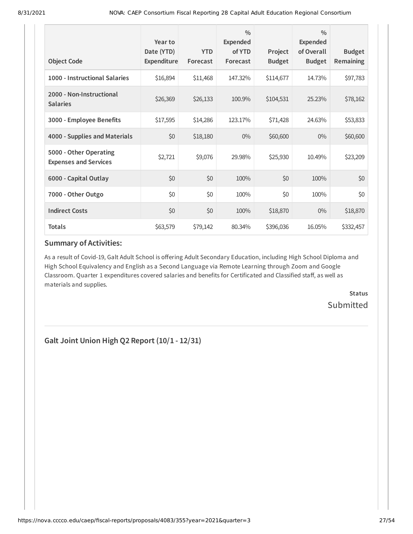| <b>Object Code</b>                                     | Year to<br>Date (YTD)<br><b>Expenditure</b> | <b>YTD</b><br>Forecast | $\frac{0}{0}$<br>Expended<br>of YTD<br>Forecast | Project<br><b>Budget</b> | $\frac{0}{0}$<br><b>Expended</b><br>of Overall<br><b>Budget</b> | <b>Budget</b><br>Remaining |
|--------------------------------------------------------|---------------------------------------------|------------------------|-------------------------------------------------|--------------------------|-----------------------------------------------------------------|----------------------------|
| 1000 - Instructional Salaries                          | \$16,894                                    | \$11,468               | 147.32%                                         | \$114,677                | 14.73%                                                          | \$97,783                   |
| 2000 - Non-Instructional<br><b>Salaries</b>            | \$26,369                                    | \$26,133               | 100.9%                                          | \$104,531                | 25.23%                                                          | \$78,162                   |
| 3000 - Employee Benefits                               | \$17,595                                    | \$14,286               | 123.17%                                         | \$71,428                 | 24.63%                                                          | \$53,833                   |
| 4000 - Supplies and Materials                          | \$0                                         | \$18,180               | $0\%$                                           | \$60,600                 | $0\%$                                                           | \$60,600                   |
| 5000 - Other Operating<br><b>Expenses and Services</b> | \$2,721                                     | \$9,076                | 29.98%                                          | \$25,930                 | 10.49%                                                          | \$23,209                   |
| 6000 - Capital Outlay                                  | \$0                                         | \$0                    | 100%                                            | \$0                      | 100%                                                            | \$0                        |
| 7000 - Other Outgo                                     | \$0                                         | \$0                    | 100%                                            | \$0                      | 100%                                                            | \$0                        |
| <b>Indirect Costs</b>                                  | \$0                                         | \$0                    | 100%                                            | \$18,870                 | $0\%$                                                           | \$18,870                   |
| <b>Totals</b>                                          | \$63,579                                    | \$79,142               | 80.34%                                          | \$396,036                | 16.05%                                                          | \$332,457                  |

As a result of Covid-19, Galt Adult School is offering Adult Secondary Education, including High School Diploma and High School Equivalency and English as a Second Language via Remote Learning through Zoom and Google Classroom. Quarter 1 expenditures covered salaries and benefits for Certificated and Classified staff, as well as materials and supplies.

> **Status Submitted**

**Galt Joint Union High Q2 Report (10/1 - 12/31)**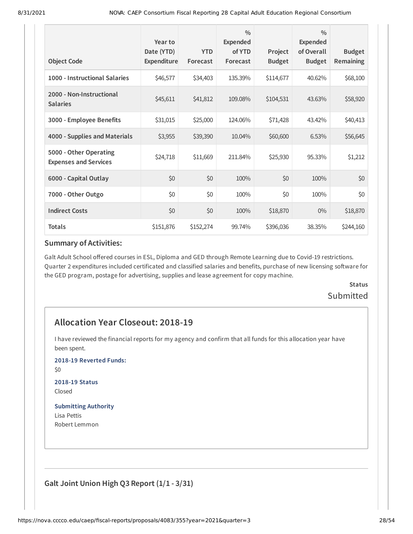| <b>Object Code</b>                                     | Year to<br>Date (YTD)<br>Expenditure | <b>YTD</b><br>Forecast | $\frac{0}{0}$<br><b>Expended</b><br>of YTD<br>Forecast | Project<br><b>Budget</b> | $\frac{0}{0}$<br><b>Expended</b><br>of Overall<br><b>Budget</b> | <b>Budget</b><br>Remaining |
|--------------------------------------------------------|--------------------------------------|------------------------|--------------------------------------------------------|--------------------------|-----------------------------------------------------------------|----------------------------|
| 1000 - Instructional Salaries                          | \$46,577                             | \$34,403               | 135.39%                                                | \$114,677                | 40.62%                                                          | \$68,100                   |
| 2000 - Non-Instructional<br><b>Salaries</b>            | \$45,611                             | \$41,812               | 109.08%                                                | \$104,531                | 43.63%                                                          | \$58,920                   |
| 3000 - Employee Benefits                               | \$31,015                             | \$25,000               | 124.06%                                                | \$71,428                 | 43.42%                                                          | \$40,413                   |
| 4000 - Supplies and Materials                          | \$3,955                              | \$39,390               | 10.04%                                                 | \$60,600                 | 6.53%                                                           | \$56,645                   |
| 5000 - Other Operating<br><b>Expenses and Services</b> | \$24,718                             | \$11,669               | 211.84%                                                | \$25,930                 | 95.33%                                                          | \$1,212                    |
| 6000 - Capital Outlay                                  | \$0                                  | \$0                    | 100%                                                   | \$0                      | 100%                                                            | \$0                        |
| 7000 - Other Outgo                                     | \$0                                  | \$0                    | 100%                                                   | \$0                      | 100%                                                            | \$0                        |
| <b>Indirect Costs</b>                                  | \$0                                  | \$0                    | 100%                                                   | \$18,870                 | $0\%$                                                           | \$18,870                   |
| <b>Totals</b>                                          | \$151,876                            | \$152,274              | 99.74%                                                 | \$396,036                | 38.35%                                                          | \$244,160                  |

Galt Adult School offered courses in ESL, Diploma and GED through Remote Learning due to Covid-19 restrictions. Quarter 2 expenditures included certificated and classified salaries and benefits, purchase of new licensing software for the GED program, postage for advertising, supplies and lease agreement for copy machine.

# **Status Submitted**

# **Allocation Year Closeout: 2018-19**

I have reviewed the financial reports for my agency and confirm that all funds for this allocation year have been spent.

**2018-19 Reverted Funds:**

\$0

**2018-19 Status** Closed

### **Submitting Authority**

Lisa Pettis Robert Lemmon

**Galt Joint Union High Q3 Report (1/1 - 3/31)**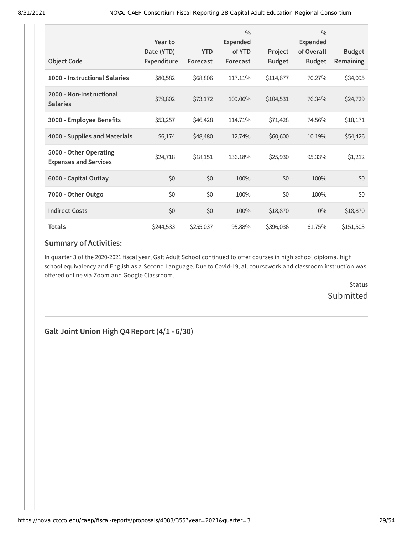| <b>Object Code</b>                                     | Year to<br>Date (YTD)<br>Expenditure | <b>YTD</b><br>Forecast | $\frac{0}{0}$<br>Expended<br>of YTD<br>Forecast | Project<br><b>Budget</b> | $\frac{0}{0}$<br><b>Expended</b><br>of Overall<br><b>Budget</b> | <b>Budget</b><br>Remaining |
|--------------------------------------------------------|--------------------------------------|------------------------|-------------------------------------------------|--------------------------|-----------------------------------------------------------------|----------------------------|
| 1000 - Instructional Salaries                          | \$80,582                             | \$68,806               | 117.11%                                         | \$114,677                | 70.27%                                                          | \$34,095                   |
| 2000 - Non-Instructional<br><b>Salaries</b>            | \$79,802                             | \$73,172               | 109.06%                                         | \$104,531                | 76.34%                                                          | \$24,729                   |
| 3000 - Employee Benefits                               | \$53,257                             | \$46,428               | 114.71%                                         | \$71,428                 | 74.56%                                                          | \$18,171                   |
| 4000 - Supplies and Materials                          | \$6,174                              | \$48,480               | 12.74%                                          | \$60,600                 | 10.19%                                                          | \$54,426                   |
| 5000 - Other Operating<br><b>Expenses and Services</b> | \$24,718                             | \$18,151               | 136.18%                                         | \$25,930                 | 95.33%                                                          | \$1,212                    |
| 6000 - Capital Outlay                                  | \$0                                  | \$0                    | 100%                                            | \$0                      | 100%                                                            | \$0                        |
| 7000 - Other Outgo                                     | \$0                                  | \$0                    | 100%                                            | \$0                      | 100%                                                            | \$0                        |
| <b>Indirect Costs</b>                                  | \$0                                  | \$0                    | 100%                                            | \$18,870                 | $0\%$                                                           | \$18,870                   |
| <b>Totals</b>                                          | \$244,533                            | \$255,037              | 95.88%                                          | \$396,036                | 61.75%                                                          | \$151,503                  |

In quarter 3 of the 2020-2021 fiscal year, Galt Adult School continued to offer courses in high school diploma, high school equivalency and English as a Second Language. Due to Covid-19, all coursework and classroom instruction was offered online via Zoom and Google Classroom.

> **Status** Submitted

**Galt Joint Union High Q4 Report (4/1 - 6/30)**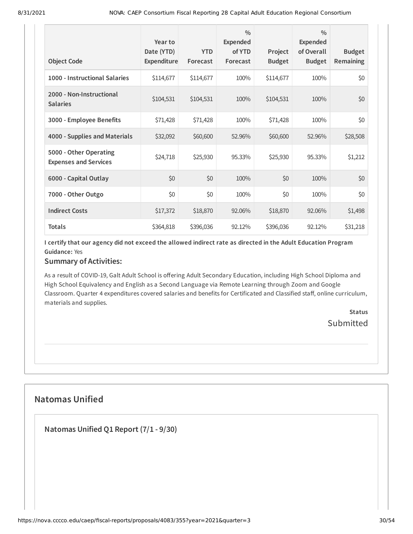| <b>Object Code</b>                                     | Year to<br>Date (YTD)<br>Expenditure | <b>YTD</b><br>Forecast | $\frac{0}{0}$<br><b>Expended</b><br>of YTD<br>Forecast | Project<br><b>Budget</b> | $\frac{0}{0}$<br><b>Expended</b><br>of Overall<br><b>Budget</b> | <b>Budget</b><br><b>Remaining</b> |
|--------------------------------------------------------|--------------------------------------|------------------------|--------------------------------------------------------|--------------------------|-----------------------------------------------------------------|-----------------------------------|
| 1000 - Instructional Salaries                          | \$114,677                            | \$114,677              | 100%                                                   | \$114,677                | 100%                                                            | \$0                               |
| 2000 - Non-Instructional<br><b>Salaries</b>            | \$104,531                            | \$104,531              | 100%                                                   | \$104,531                | 100%                                                            | \$0                               |
| 3000 - Employee Benefits                               | \$71,428                             | \$71,428               | 100%                                                   | \$71,428                 | 100%                                                            | \$0                               |
| 4000 - Supplies and Materials                          | \$32,092                             | \$60,600               | 52.96%                                                 | \$60,600                 | 52.96%                                                          | \$28,508                          |
| 5000 - Other Operating<br><b>Expenses and Services</b> | \$24,718                             | \$25,930               | 95.33%                                                 | \$25,930                 | 95.33%                                                          | \$1,212                           |
| 6000 - Capital Outlay                                  | \$0                                  | \$0                    | 100%                                                   | \$0                      | 100%                                                            | \$0                               |
| 7000 - Other Outgo                                     | \$0                                  | \$0                    | 100%                                                   | \$0                      | 100%                                                            | \$0                               |
| <b>Indirect Costs</b>                                  | \$17,372                             | \$18,870               | 92.06%                                                 | \$18,870                 | 92.06%                                                          | \$1,498                           |
| <b>Totals</b>                                          | \$364,818                            | \$396,036              | 92.12%                                                 | \$396,036                | 92.12%                                                          | \$31,218                          |

I certify that our agency did not exceed the allowed indirect rate as directed in the Adult Education Program **Guidance:** Yes

### **Summary of Activities:**

As a result of COVID-19, Galt Adult School is offering Adult Secondary Education, including High School Diploma and High School Equivalency and English as a Second Language via Remote Learning through Zoom and Google Classroom. Quarter 4 expenditures covered salaries and benefits for Certificated and Classified staff, online curriculum, materials and supplies.

> **Status Submitted**

# **Natomas Unified**

**Natomas Unified Q1 Report (7/1 - 9/30)**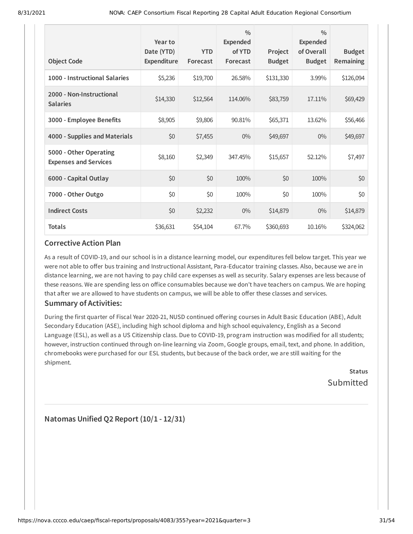| <b>Object Code</b>                                     | Year to<br>Date (YTD)<br>Expenditure | <b>YTD</b><br>Forecast | $\frac{0}{0}$<br><b>Expended</b><br>of YTD<br>Forecast | Project<br><b>Budget</b> | $\frac{0}{0}$<br><b>Expended</b><br>of Overall<br><b>Budget</b> | <b>Budget</b><br>Remaining |
|--------------------------------------------------------|--------------------------------------|------------------------|--------------------------------------------------------|--------------------------|-----------------------------------------------------------------|----------------------------|
| 1000 - Instructional Salaries                          | \$5,236                              | \$19,700               | 26.58%                                                 | \$131,330                | 3.99%                                                           | \$126,094                  |
| 2000 - Non-Instructional<br><b>Salaries</b>            | \$14,330                             | \$12,564               | 114.06%                                                | \$83,759                 | 17.11%                                                          | \$69,429                   |
| 3000 - Employee Benefits                               | \$8,905                              | \$9,806                | 90.81%                                                 | \$65,371                 | 13.62%                                                          | \$56,466                   |
| 4000 - Supplies and Materials                          | \$0                                  | \$7,455                | $0\%$                                                  | \$49,697                 | $0\%$                                                           | \$49,697                   |
| 5000 - Other Operating<br><b>Expenses and Services</b> | \$8,160                              | \$2,349                | 347.45%                                                | \$15,657                 | 52.12%                                                          | \$7,497                    |
| 6000 - Capital Outlay                                  | \$0                                  | \$0                    | 100%                                                   | \$0                      | 100%                                                            | \$0                        |
| 7000 - Other Outgo                                     | \$0                                  | \$0                    | 100%                                                   | \$0                      | 100%                                                            | \$0                        |
| <b>Indirect Costs</b>                                  | \$0                                  | \$2,232                | $0\%$                                                  | \$14,879                 | $0\%$                                                           | \$14,879                   |
| <b>Totals</b>                                          | \$36,631                             | \$54,104               | 67.7%                                                  | \$360,693                | 10.16%                                                          | \$324,062                  |

As a result of COVID-19, and our school is in a distance learning model, our expenditures fell below target. This year we were not able to offer bus training and Instructional Assistant, Para-Educator training classes. Also, because we are in distance learning, we are not having to pay child care expenses as well as security. Salary expenses are less because of these reasons. We are spending less on office consumables because we don't have teachers on campus. We are hoping that after we are allowed to have students on campus, we will be able to offer these classes and services.

### **Summary of Activities:**

During the first quarter of Fiscal Year 2020-21, NUSD continued offering courses in Adult Basic Education (ABE), Adult Secondary Education (ASE), including high school diploma and high school equivalency, English as a Second Language (ESL), as well as a US Citizenship class. Due to COVID-19, program instruction was modified for all students; however, instruction continued through on-line learning via Zoom, Google groups, email, text, and phone. In addition, chromebooks were purchased for our ESL students, but because of the back order, we are still waiting for the shipment.

**Status** Submitted

**Natomas Unified Q2 Report (10/1 - 12/31)**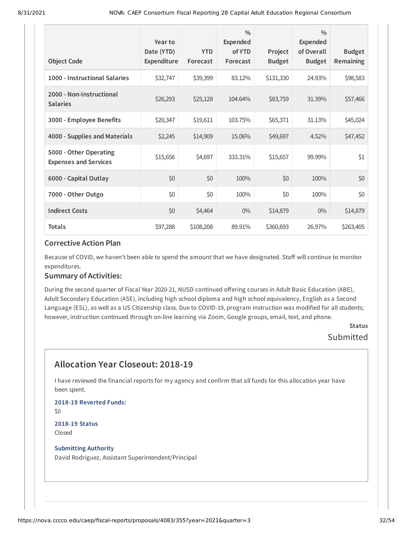|                                                        | Year to<br>Date (YTD) | <b>YTD</b> | $\frac{0}{0}$<br><b>Expended</b><br>of YTD | Project       | $\frac{0}{0}$<br><b>Expended</b><br>of Overall | <b>Budget</b> |
|--------------------------------------------------------|-----------------------|------------|--------------------------------------------|---------------|------------------------------------------------|---------------|
| <b>Object Code</b>                                     | <b>Expenditure</b>    | Forecast   | Forecast                                   | <b>Budget</b> | <b>Budget</b>                                  | Remaining     |
| 1000 - Instructional Salaries                          | \$32,747              | \$39,399   | 83.12%                                     | \$131,330     | 24.93%                                         | \$98,583      |
| 2000 - Non-Instructional<br><b>Salaries</b>            | \$26,293              | \$25,128   | 104.64%                                    | \$83,759      | 31.39%                                         | \$57,466      |
| 3000 - Employee Benefits                               | \$20,347              | \$19,611   | 103.75%                                    | \$65,371      | 31.13%                                         | \$45,024      |
| 4000 - Supplies and Materials                          | \$2,245               | \$14,909   | 15.06%                                     | \$49,697      | 4.52%                                          | \$47,452      |
| 5000 - Other Operating<br><b>Expenses and Services</b> | \$15,656              | \$4,697    | 333.31%                                    | \$15,657      | 99.99%                                         | \$1           |
| 6000 - Capital Outlay                                  | \$0                   | \$0        | 100%                                       | \$0           | 100%                                           | \$0           |
| 7000 - Other Outgo                                     | \$0                   | \$0        | 100%                                       | \$0           | 100%                                           | \$0           |
| <b>Indirect Costs</b>                                  | \$0                   | \$4,464    | $0\%$                                      | \$14,879      | $0\%$                                          | \$14,879      |
| <b>Totals</b>                                          | \$97,288              | \$108,208  | 89.91%                                     | \$360,693     | 26.97%                                         | \$263,405     |

Because of COVID, we haven't been able to spend the amount that we have designated. Staff will continue to monitor expenditures.

#### **Summary of Activities:**

During the second quarter of Fiscal Year 2020-21, NUSD continued offering courses in Adult Basic Education (ABE), Adult Secondary Education (ASE), including high school diploma and high school equivalency, English as a Second Language (ESL), as well as a US Citizenship class. Due to COVID-19, program instruction was modified for all students; however, instruction continued through on-line learning via Zoom, Google groups, email, text, and phone.

## **Status** Submitted

# **Allocation Year Closeout: 2018-19**

I have reviewed the financial reports for my agency and confirm that all funds for this allocation year have been spent.

**2018-19 Reverted Funds:** \$0 **2018-19 Status**

Closed

#### **Submitting Authority**

David Rodriguez, Assistant Superintendent/Principal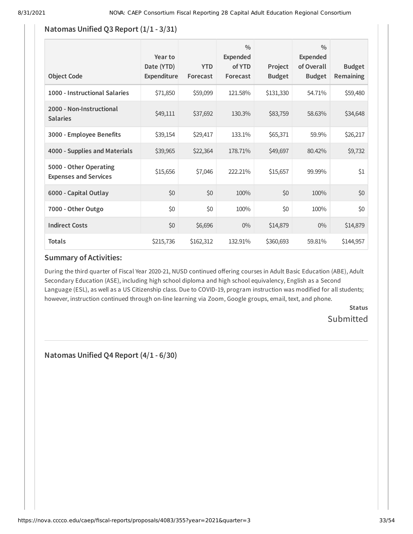# **Natomas Unified Q3 Report (1/1 - 3/31)**

| <b>Object Code</b>                                     | Year to<br>Date (YTD)<br>Expenditure | <b>YTD</b><br>Forecast | $\frac{0}{0}$<br><b>Expended</b><br>of YTD<br>Forecast | Project<br><b>Budget</b> | $\frac{0}{0}$<br>Expended<br>of Overall<br><b>Budget</b> | <b>Budget</b><br>Remaining |
|--------------------------------------------------------|--------------------------------------|------------------------|--------------------------------------------------------|--------------------------|----------------------------------------------------------|----------------------------|
| 1000 - Instructional Salaries                          | \$71,850                             | \$59,099               | 121.58%                                                | \$131,330                | 54.71%                                                   | \$59,480                   |
| 2000 - Non-Instructional<br><b>Salaries</b>            | \$49,111                             | \$37,692               | 130.3%                                                 | \$83,759                 | 58.63%                                                   | \$34,648                   |
| 3000 - Employee Benefits                               | \$39,154                             | \$29,417               | 133.1%                                                 | \$65,371                 | 59.9%                                                    | \$26,217                   |
| 4000 - Supplies and Materials                          | \$39,965                             | \$22,364               | 178.71%                                                | \$49,697                 | 80.42%                                                   | \$9,732                    |
| 5000 - Other Operating<br><b>Expenses and Services</b> | \$15,656                             | \$7,046                | 222.21%                                                | \$15,657                 | 99.99%                                                   | \$1                        |
| 6000 - Capital Outlay                                  | \$0                                  | \$0                    | 100%                                                   | \$0                      | 100%                                                     | \$0                        |
| 7000 - Other Outgo                                     | \$0                                  | \$0                    | 100%                                                   | \$0                      | 100%                                                     | \$0                        |
| <b>Indirect Costs</b>                                  | \$0                                  | \$6,696                | $0\%$                                                  | \$14,879                 | $0\%$                                                    | \$14,879                   |
| <b>Totals</b>                                          | \$215,736                            | \$162,312              | 132.91%                                                | \$360,693                | 59.81%                                                   | \$144,957                  |

# **Summary of Activities:**

During the third quarter of Fiscal Year 2020-21, NUSD continued offering courses in Adult Basic Education (ABE), Adult Secondary Education (ASE), including high school diploma and high school equivalency, English as a Second Language (ESL), as well as a US Citizenship class. Due to COVID-19, program instruction was modified for all students; however, instruction continued through on-line learning via Zoom, Google groups, email, text, and phone.

> **Status** Submitted

**Natomas Unified Q4 Report (4/1 - 6/30)**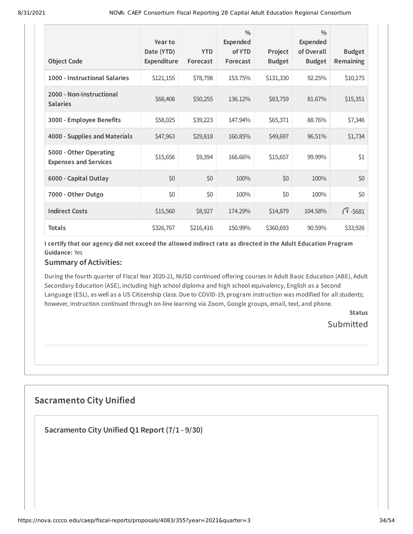| <b>Object Code</b>                                     | Year to<br>Date (YTD)<br><b>Expenditure</b> | <b>YTD</b><br>Forecast | $\frac{0}{0}$<br>Expended<br>of YTD<br>Forecast | Project<br><b>Budget</b> | $\frac{0}{0}$<br>Expended<br>of Overall<br><b>Budget</b> | <b>Budget</b><br>Remaining |
|--------------------------------------------------------|---------------------------------------------|------------------------|-------------------------------------------------|--------------------------|----------------------------------------------------------|----------------------------|
| 1000 - Instructional Salaries                          | \$121,155                                   | \$78,798               | 153.75%                                         | \$131,330                | 92.25%                                                   | \$10,175                   |
| 2000 - Non-Instructional<br><b>Salaries</b>            | \$68,408                                    | \$50,255               | 136.12%                                         | \$83,759                 | 81.67%                                                   | \$15,351                   |
| 3000 - Employee Benefits                               | \$58,025                                    | \$39,223               | 147.94%                                         | \$65,371                 | 88.76%                                                   | \$7,346                    |
| 4000 - Supplies and Materials                          | \$47,963                                    | \$29,818               | 160.85%                                         | \$49,697                 | 96.51%                                                   | \$1,734                    |
| 5000 - Other Operating<br><b>Expenses and Services</b> | \$15,656                                    | \$9,394                | 166.66%                                         | \$15,657                 | 99.99%                                                   | \$1                        |
| 6000 - Capital Outlay                                  | \$0                                         | \$0                    | 100%                                            | \$0                      | 100%                                                     | \$0                        |
| 7000 - Other Outgo                                     | \$0                                         | \$0                    | 100%                                            | \$0                      | 100%                                                     | \$0                        |
| <b>Indirect Costs</b>                                  | \$15,560                                    | \$8,927                | 174.29%                                         | \$14,879                 | 104.58%                                                  | $\sqrt{1} - $681$          |
| <b>Totals</b>                                          | \$326,767                                   | \$216,416              | 150.99%                                         | \$360,693                | 90.59%                                                   | \$33,926                   |

I certify that our agency did not exceed the allowed indirect rate as directed in the Adult Education Program **Guidance:** Yes

#### **Summary of Activities:**

During the fourth quarter of Fiscal Year 2020-21, NUSD continued offering courses in Adult Basic Education (ABE), Adult Secondary Education (ASE), including high school diploma and high school equivalency, English as a Second Language (ESL), as well as a US Citizenship class. Due to COVID-19, program instruction was modified for all students; however, instruction continued through on-line learning via Zoom, Google groups, email, text, and phone.

> **Status** Submitted

# **Sacramento City Unified**

**Sacramento City Unified Q1 Report (7/1 - 9/30)**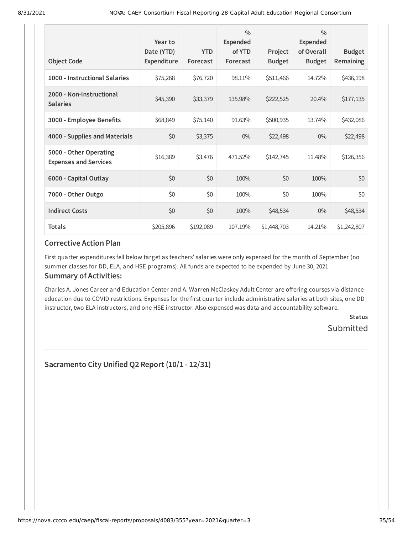| <b>Object Code</b>                                     | Year to<br>Date (YTD)<br><b>Expenditure</b> | <b>YTD</b><br>Forecast | $\frac{0}{0}$<br><b>Expended</b><br>of YTD<br>Forecast | Project<br><b>Budget</b> | $\frac{0}{0}$<br><b>Expended</b><br>of Overall<br><b>Budget</b> | <b>Budget</b><br>Remaining |
|--------------------------------------------------------|---------------------------------------------|------------------------|--------------------------------------------------------|--------------------------|-----------------------------------------------------------------|----------------------------|
| 1000 - Instructional Salaries                          | \$75,268                                    | \$76,720               | 98.11%                                                 | \$511,466                | 14.72%                                                          | \$436,198                  |
| 2000 - Non-Instructional<br><b>Salaries</b>            | \$45,390                                    | \$33,379               | 135.98%                                                | \$222,525                | 20.4%                                                           | \$177,135                  |
| 3000 - Employee Benefits                               | \$68,849                                    | \$75,140               | 91.63%                                                 | \$500,935                | 13.74%                                                          | \$432,086                  |
| 4000 - Supplies and Materials                          | \$0                                         | \$3,375                | $0\%$                                                  | \$22,498                 | $0\%$                                                           | \$22,498                   |
| 5000 - Other Operating<br><b>Expenses and Services</b> | \$16,389                                    | \$3,476                | 471.52%                                                | \$142,745                | 11.48%                                                          | \$126,356                  |
| 6000 - Capital Outlay                                  | \$0                                         | \$0                    | 100%                                                   | \$0                      | 100%                                                            | \$0                        |
| 7000 - Other Outgo                                     | \$0                                         | \$0                    | 100%                                                   | \$0                      | 100%                                                            | \$0                        |
| <b>Indirect Costs</b>                                  | \$0                                         | \$0                    | 100%                                                   | \$48,534                 | $0\%$                                                           | \$48,534                   |
| <b>Totals</b>                                          | \$205,896                                   | \$192,089              | 107.19%                                                | \$1,448,703              | 14.21%                                                          | \$1,242,807                |

First quarter expenditures fell below target as teachers' salaries were only expensed for the month of September (no summer classes for DD, ELA, and HSE programs). All funds are expected to be expended by June 30, 2021.

### **Summary of Activities:**

Charles A. Jones Career and Education Center and A. Warren McClaskey Adult Center are offering courses via distance education due to COVID restrictions. Expenses for the first quarter include administrative salaries at both sites, one DD instructor, two ELA instructors, and one HSE instructor. Also expensed was data and accountability software.

> **Status** Submitted

**Sacramento City Unified Q2 Report (10/1 - 12/31)**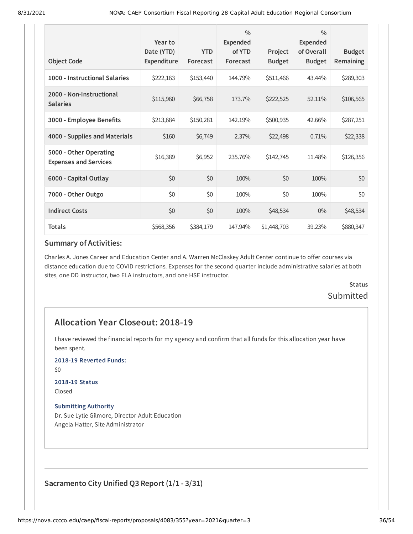| <b>Object Code</b>                                     | Year to<br>Date (YTD)<br>Expenditure | <b>YTD</b><br>Forecast | $\frac{0}{0}$<br><b>Expended</b><br>of YTD<br>Forecast | Project<br><b>Budget</b> | $\frac{0}{0}$<br><b>Expended</b><br>of Overall<br><b>Budget</b> | <b>Budget</b><br>Remaining |
|--------------------------------------------------------|--------------------------------------|------------------------|--------------------------------------------------------|--------------------------|-----------------------------------------------------------------|----------------------------|
| 1000 - Instructional Salaries                          | \$222,163                            | \$153,440              | 144.79%                                                | \$511,466                | 43.44%                                                          | \$289,303                  |
| 2000 - Non-Instructional<br><b>Salaries</b>            | \$115,960                            | \$66,758               | 173.7%                                                 | \$222,525                | 52.11%                                                          | \$106,565                  |
| 3000 - Employee Benefits                               | \$213,684                            | \$150,281              | 142.19%                                                | \$500,935                | 42.66%                                                          | \$287,251                  |
| 4000 - Supplies and Materials                          | \$160                                | \$6,749                | 2.37%                                                  | \$22,498                 | 0.71%                                                           | \$22,338                   |
| 5000 - Other Operating<br><b>Expenses and Services</b> | \$16,389                             | \$6,952                | 235.76%                                                | \$142,745                | 11.48%                                                          | \$126,356                  |
| 6000 - Capital Outlay                                  | \$0                                  | \$0                    | 100%                                                   | \$0                      | 100%                                                            | \$0                        |
| 7000 - Other Outgo                                     | \$0                                  | \$0                    | 100%                                                   | \$0                      | 100%                                                            | \$0                        |
| <b>Indirect Costs</b>                                  | \$0                                  | \$0                    | 100%                                                   | \$48,534                 | $0\%$                                                           | \$48,534                   |
| <b>Totals</b>                                          | \$568,356                            | \$384,179              | 147.94%                                                | \$1,448,703              | 39.23%                                                          | \$880,347                  |

Charles A. Jones Career and Education Center and A. Warren McClaskey Adult Center continue to offer courses via distance education due to COVID restrictions. Expenses for the second quarter include administrative salaries at both sites, one DD instructor, two ELA instructors, and one HSE instructor.

# **Status Submitted**

# **Allocation Year Closeout: 2018-19**

I have reviewed the financial reports for my agency and confirm that all funds for this allocation year have been spent.

**2018-19 Reverted Funds:**

\$0

# **2018-19 Status**

Closed

### **Submitting Authority**

Dr. Sue Lytle Gilmore, Director Adult Education Angela Hatter, Site Administrator

**Sacramento City Unified Q3 Report (1/1 - 3/31)**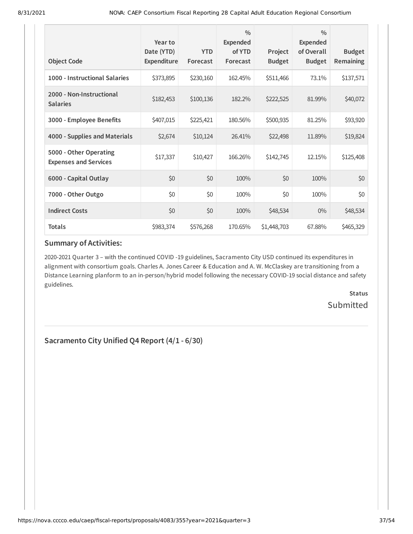|                                                        | Year to<br>Date (YTD) | <b>YTD</b> | $\frac{0}{0}$<br><b>Expended</b><br>of YTD | Project       | $\frac{0}{0}$<br><b>Expended</b><br>of Overall | <b>Budget</b> |
|--------------------------------------------------------|-----------------------|------------|--------------------------------------------|---------------|------------------------------------------------|---------------|
| <b>Object Code</b>                                     | <b>Expenditure</b>    | Forecast   | Forecast                                   | <b>Budget</b> | <b>Budget</b>                                  | Remaining     |
| 1000 - Instructional Salaries                          | \$373,895             | \$230,160  | 162.45%                                    | \$511,466     | 73.1%                                          | \$137,571     |
| 2000 - Non-Instructional<br><b>Salaries</b>            | \$182,453             | \$100,136  | 182.2%                                     | \$222,525     | 81.99%                                         | \$40,072      |
| 3000 - Employee Benefits                               | \$407,015             | \$225,421  | 180.56%                                    | \$500,935     | 81.25%                                         | \$93,920      |
| 4000 - Supplies and Materials                          | \$2,674               | \$10,124   | 26.41%                                     | \$22,498      | 11.89%                                         | \$19,824      |
| 5000 - Other Operating<br><b>Expenses and Services</b> | \$17,337              | \$10,427   | 166.26%                                    | \$142,745     | 12.15%                                         | \$125,408     |
| 6000 - Capital Outlay                                  | \$0                   | \$0        | 100%                                       | \$0           | 100%                                           | \$0           |
| 7000 - Other Outgo                                     | \$0                   | \$0        | 100%                                       | \$0           | 100%                                           | \$0           |
| <b>Indirect Costs</b>                                  | \$0                   | \$0        | 100%                                       | \$48,534      | $0\%$                                          | \$48,534      |
| <b>Totals</b>                                          | \$983,374             | \$576,268  | 170.65%                                    | \$1,448,703   | 67.88%                                         | \$465,329     |

2020-2021 Quarter 3 – with the continued COVID -19 guidelines, Sacramento City USD continued its expenditures in alignment with consortium goals. Charles A. Jones Career & Education and A. W. McClaskey are transitioning from a Distance Learning planform to an in-person/hybrid model following the necessary COVID-19 social distance and safety guidelines.

> **Status Submitted**

**Sacramento City Unified Q4 Report (4/1 - 6/30)**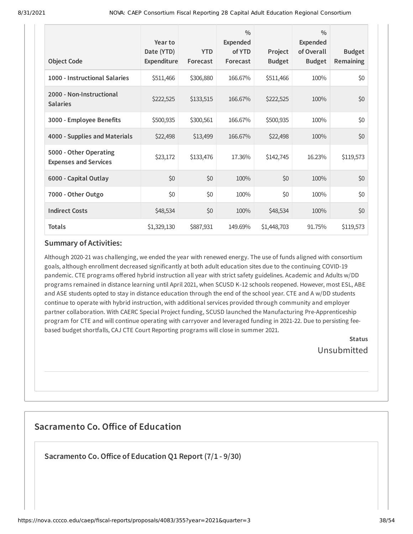| <b>Object Code</b>                                     | Year to<br>Date (YTD)<br>Expenditure | <b>YTD</b><br>Forecast | $\frac{0}{0}$<br><b>Expended</b><br>of YTD<br>Forecast | Project<br><b>Budget</b> | $\frac{0}{0}$<br>Expended<br>of Overall<br><b>Budget</b> | <b>Budget</b><br>Remaining |
|--------------------------------------------------------|--------------------------------------|------------------------|--------------------------------------------------------|--------------------------|----------------------------------------------------------|----------------------------|
| 1000 - Instructional Salaries                          | \$511,466                            | \$306,880              | 166.67%                                                | \$511,466                | 100%                                                     | \$0                        |
| 2000 - Non-Instructional<br><b>Salaries</b>            | \$222,525                            | \$133,515              | 166.67%                                                | \$222,525                | 100%                                                     | \$0                        |
| 3000 - Employee Benefits                               | \$500,935                            | \$300,561              | 166.67%                                                | \$500,935                | 100%                                                     | \$0                        |
| 4000 - Supplies and Materials                          | \$22,498                             | \$13,499               | 166.67%                                                | \$22,498                 | 100%                                                     | \$0                        |
| 5000 - Other Operating<br><b>Expenses and Services</b> | \$23,172                             | \$133,476              | 17.36%                                                 | \$142,745                | 16.23%                                                   | \$119,573                  |
| 6000 - Capital Outlay                                  | \$0                                  | \$0                    | 100%                                                   | \$0                      | 100%                                                     | \$0                        |
| 7000 - Other Outgo                                     | \$0                                  | \$0                    | 100%                                                   | \$0                      | 100%                                                     | \$0                        |
| <b>Indirect Costs</b>                                  | \$48,534                             | \$0                    | 100%                                                   | \$48,534                 | 100%                                                     | \$0                        |
| <b>Totals</b>                                          | \$1,329,130                          | \$887,931              | 149.69%                                                | \$1,448,703              | 91.75%                                                   | \$119,573                  |

Although 2020-21 was challenging, we ended the year with renewed energy. The use of funds aligned with consortium goals, although enrollment decreased significantly at both adult education sites due to the continuing COVID-19 pandemic. CTE programs offered hybrid instruction all year with strict safety guidelines. Academic and Adults w/DD programs remained in distance learning until April 2021, when SCUSD K-12 schools reopened. However, most ESL, ABE and ASE students opted to stay in distance education through the end of the school year. CTE and A w/DD students continue to operate with hybrid instruction, with additional services provided through community and employer partner collaboration. With CAERC Special Project funding, SCUSD launched the Manufacturing Pre-Apprenticeship program for CTE and will continue operating with carryover and leveraged funding in 2021-22. Due to persisting feebased budget shortfalls, CAJ CTE Court Reporting programs will close in summer 2021.

> **Status** Unsubmitted

# **Sacramento Co. Office of Education**

**Sacramento Co.Office of Education Q1 Report (7/1 - 9/30)**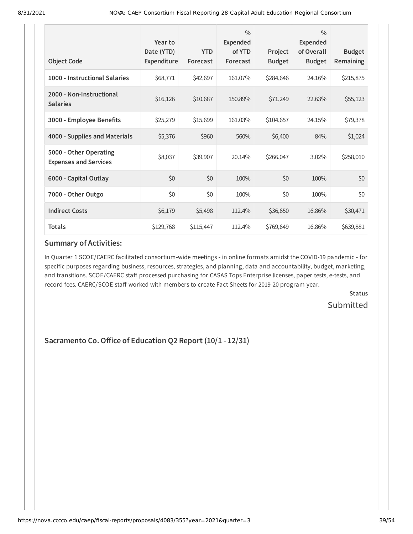| <b>Object Code</b>                                     | Year to<br>Date (YTD)<br><b>Expenditure</b> | <b>YTD</b><br>Forecast | $\frac{0}{0}$<br><b>Expended</b><br>of YTD<br>Forecast | Project<br><b>Budget</b> | $\frac{0}{0}$<br><b>Expended</b><br>of Overall<br><b>Budget</b> | <b>Budget</b><br>Remaining |
|--------------------------------------------------------|---------------------------------------------|------------------------|--------------------------------------------------------|--------------------------|-----------------------------------------------------------------|----------------------------|
| 1000 - Instructional Salaries                          | \$68,771                                    | \$42,697               | 161.07%                                                | \$284,646                | 24.16%                                                          | \$215,875                  |
| 2000 - Non-Instructional<br><b>Salaries</b>            | \$16,126                                    | \$10,687               | 150.89%                                                | \$71,249                 | 22.63%                                                          | \$55,123                   |
| 3000 - Employee Benefits                               | \$25,279                                    | \$15,699               | 161.03%                                                | \$104,657                | 24.15%                                                          | \$79,378                   |
| 4000 - Supplies and Materials                          | \$5,376                                     | \$960                  | 560%                                                   | \$6,400                  | 84%                                                             | \$1,024                    |
| 5000 - Other Operating<br><b>Expenses and Services</b> | \$8,037                                     | \$39,907               | 20.14%                                                 | \$266,047                | 3.02%                                                           | \$258,010                  |
| 6000 - Capital Outlay                                  | \$0                                         | \$0                    | 100%                                                   | \$0                      | 100%                                                            | \$0                        |
| 7000 - Other Outgo                                     | \$0                                         | \$0                    | 100%                                                   | \$0                      | 100%                                                            | \$0                        |
| <b>Indirect Costs</b>                                  | \$6,179                                     | \$5,498                | 112.4%                                                 | \$36,650                 | 16.86%                                                          | \$30,471                   |
| <b>Totals</b>                                          | \$129,768                                   | \$115,447              | 112.4%                                                 | \$769,649                | 16.86%                                                          | \$639,881                  |

In Quarter 1 SCOE/CAERC facilitated consortium-wide meetings - in online formats amidst the COVID-19 pandemic - for specific purposes regarding business, resources, strategies, and planning, data and accountability, budget, marketing, and transitions. SCOE/CAERC staff processed purchasing for CASAS Tops Enterprise licenses, paper tests, e-tests, and record fees. CAERC/SCOE staff worked with members to create Fact Sheets for 2019-20 program year.

> **Status Submitted**

# **Sacramento Co.Office of Education Q2 Report (10/1 - 12/31)**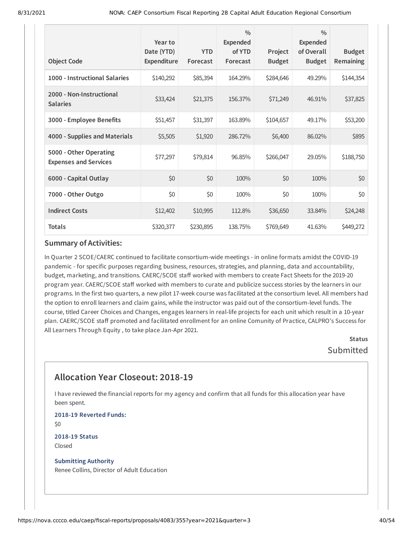| <b>Object Code</b>                                     | Year to<br>Date (YTD)<br>Expenditure | <b>YTD</b><br>Forecast | $\frac{0}{0}$<br><b>Expended</b><br>of YTD<br>Forecast | Project<br><b>Budget</b> | $\frac{0}{0}$<br><b>Expended</b><br>of Overall<br><b>Budget</b> | <b>Budget</b><br>Remaining |
|--------------------------------------------------------|--------------------------------------|------------------------|--------------------------------------------------------|--------------------------|-----------------------------------------------------------------|----------------------------|
| 1000 - Instructional Salaries                          | \$140,292                            | \$85,394               | 164.29%                                                | \$284,646                | 49.29%                                                          | \$144,354                  |
| 2000 - Non-Instructional<br><b>Salaries</b>            | \$33,424                             | \$21,375               | 156.37%                                                | \$71,249                 | 46.91%                                                          | \$37,825                   |
| 3000 - Employee Benefits                               | \$51,457                             | \$31,397               | 163.89%                                                | \$104,657                | 49.17%                                                          | \$53,200                   |
| 4000 - Supplies and Materials                          | \$5,505                              | \$1,920                | 286.72%                                                | \$6,400                  | 86.02%                                                          | \$895                      |
| 5000 - Other Operating<br><b>Expenses and Services</b> | \$77,297                             | \$79,814               | 96.85%                                                 | \$266,047                | 29.05%                                                          | \$188,750                  |
| 6000 - Capital Outlay                                  | \$0                                  | \$0                    | 100%                                                   | \$0                      | 100%                                                            | \$0                        |
| 7000 - Other Outgo                                     | \$0                                  | \$0                    | 100%                                                   | \$0                      | 100%                                                            | \$0                        |
| <b>Indirect Costs</b>                                  | \$12,402                             | \$10,995               | 112.8%                                                 | \$36,650                 | 33.84%                                                          | \$24,248                   |
| <b>Totals</b>                                          | \$320,377                            | \$230,895              | 138.75%                                                | \$769,649                | 41.63%                                                          | \$449,272                  |

In Quarter 2 SCOE/CAERC continued to facilitate consortium-wide meetings - in online formats amidst the COVID-19 pandemic - for specific purposes regarding business, resources, strategies, and planning, data and accountability, budget, marketing, and transitions. CAERC/SCOE staff worked with members to create Fact Sheets for the 2019-20 program year. CAERC/SCOE staff worked with members to curate and publicize success stories by the learners in our programs. In the first two quarters, a new pilot 17-week course was facilitated at the consortium level. All members had the option to enroll learners and claim gains, while the instructor was paid out of the consortium-level funds. The course, titled Career Choices and Changes, engages learners in real-life projects for each unit which result in a 10-year plan. CAERC/SCOE staff promoted and facilitated enrollment for an online Comunity of Practice, CALPRO's Success for All Learners Through Equity , to take place Jan-Apr 2021.

> **Status** Submitted

# **Allocation Year Closeout: 2018-19**

I have reviewed the financial reports for my agency and confirm that all funds for this allocation year have been spent.

**2018-19 Reverted Funds:** \$0

**2018-19 Status** Closed

**Submitting Authority** Renee Collins, Director of Adult Education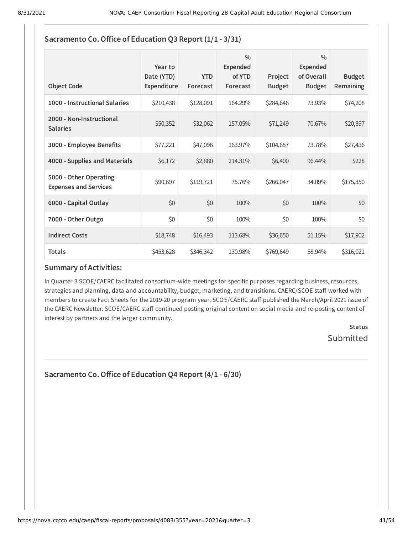| <b>Object Code</b>                                     | Year to<br>Date (YTD)<br>Expenditure | <b>YTD</b><br>Forecast | $\frac{0}{0}$<br>Expended<br>of YTD<br>Forecast | Project<br><b>Budget</b> | $\frac{0}{0}$<br><b>Expended</b><br>of Overall<br><b>Budget</b> | <b>Budget</b><br><b>Remaining</b> |
|--------------------------------------------------------|--------------------------------------|------------------------|-------------------------------------------------|--------------------------|-----------------------------------------------------------------|-----------------------------------|
| 1000 - Instructional Salaries                          | \$210,438                            | \$128,091              | 164.29%                                         | \$284,646                | 73.93%                                                          | \$74,208                          |
| 2000 - Non-Instructional<br><b>Salaries</b>            | \$50,352                             | \$32,062               | 157.05%                                         | \$71,249                 | 70.67%                                                          | \$20,897                          |
| 3000 - Employee Benefits                               | \$77,221                             | \$47,096               | 163.97%                                         | \$104,657                | 73.78%                                                          | \$27,436                          |
| 4000 - Supplies and Materials                          | \$6,172                              | \$2,880                | 214.31%                                         | \$6,400                  | 96.44%                                                          | \$228                             |
| 5000 - Other Operating<br><b>Expenses and Services</b> | \$90,697                             | \$119,721              | 75.76%                                          | \$266,047                | 34.09%                                                          | \$175,350                         |
| 6000 - Capital Outlay                                  | \$0                                  | \$0                    | 100%                                            | \$0                      | 100%                                                            | \$0                               |
| 7000 - Other Outgo                                     | \$0                                  | \$0                    | 100%                                            | \$0                      | 100%                                                            | \$0                               |
| <b>Indirect Costs</b>                                  | \$18,748                             | \$16,493               | 113.68%                                         | \$36,650                 | 51.15%                                                          | \$17,902                          |
| <b>Totals</b>                                          | \$453,628                            | \$346,342              | 130.98%                                         | \$769,649                | 58.94%                                                          | \$316,021                         |

# **Sacramento Co.Office of Education Q3 Report (1/1 - 3/31)**

### **Summary of Activities:**

In Quarter 3 SCOE/CAERC facilitated consortium-wide meetings for specific purposes regarding business, resources, strategies and planning, data and accountability, budget, marketing, and transitions. CAERC/SCOE staff worked with members to create Fact Sheets for the 2019-20 program year. SCOE/CAERC staff published the March/April 2021 issue of the CAERC Newsletter. SCOE/CAERC staff continued posting original content on social media and re-posting content of interest by partners and the larger community.

> **Status** Submitted

**Sacramento Co.Office of Education Q4 Report (4/1 - 6/30)**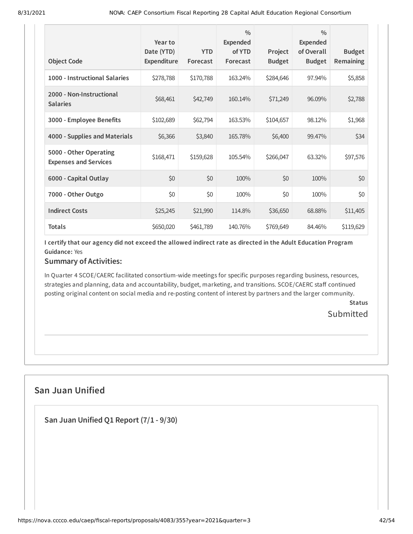| <b>Object Code</b>                                     | Year to<br>Date (YTD)<br><b>Expenditure</b> | <b>YTD</b><br>Forecast | $\frac{0}{0}$<br><b>Expended</b><br>of YTD<br>Forecast | Project<br><b>Budget</b> | $\frac{0}{0}$<br>Expended<br>of Overall<br><b>Budget</b> | <b>Budget</b><br>Remaining |
|--------------------------------------------------------|---------------------------------------------|------------------------|--------------------------------------------------------|--------------------------|----------------------------------------------------------|----------------------------|
| 1000 - Instructional Salaries                          | \$278,788                                   | \$170,788              | 163.24%                                                | \$284,646                | 97.94%                                                   | \$5,858                    |
| 2000 - Non-Instructional<br><b>Salaries</b>            | \$68,461                                    | \$42,749               | 160.14%                                                | \$71,249                 | 96.09%                                                   | \$2,788                    |
| 3000 - Employee Benefits                               | \$102,689                                   | \$62,794               | 163.53%                                                | \$104,657                | 98.12%                                                   | \$1,968                    |
| 4000 - Supplies and Materials                          | \$6,366                                     | \$3,840                | 165.78%                                                | \$6,400                  | 99.47%                                                   | \$34                       |
| 5000 - Other Operating<br><b>Expenses and Services</b> | \$168,471                                   | \$159,628              | 105.54%                                                | \$266,047                | 63.32%                                                   | \$97,576                   |
| 6000 - Capital Outlay                                  | \$0                                         | \$0                    | 100%                                                   | \$0                      | 100%                                                     | \$0                        |
| 7000 - Other Outgo                                     | \$0                                         | \$0                    | 100%                                                   | \$0                      | 100%                                                     | \$0                        |
| <b>Indirect Costs</b>                                  | \$25,245                                    | \$21,990               | 114.8%                                                 | \$36,650                 | 68.88%                                                   | \$11,405                   |
| <b>Totals</b>                                          | \$650,020                                   | \$461,789              | 140.76%                                                | \$769,649                | 84.46%                                                   | \$119,629                  |

I certify that our agency did not exceed the allowed indirect rate as directed in the Adult Education Program **Guidance:** Yes

# **Summary of Activities:**

In Quarter 4 SCOE/CAERC facilitated consortium-wide meetings for specific purposes regarding business, resources, strategies and planning, data and accountability, budget, marketing, and transitions. SCOE/CAERC staff continued posting original content on social media and re-posting content of interest by partners and the larger community.

> **Status Submitted**

# **San Juan Unified**

**San Juan Unified Q1 Report (7/1 - 9/30)**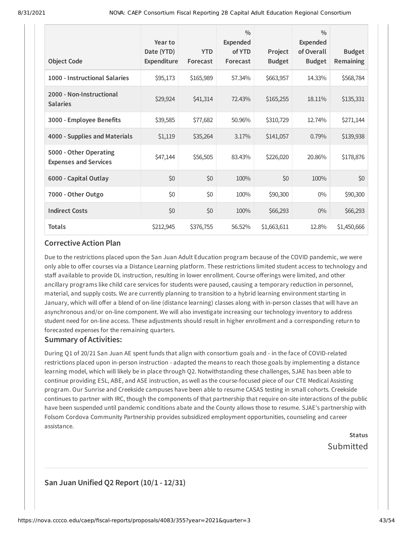| <b>Object Code</b>                                     | Year to<br>Date (YTD)<br><b>Expenditure</b> | <b>YTD</b><br>Forecast | $\frac{0}{0}$<br><b>Expended</b><br>of YTD<br>Forecast | Project<br><b>Budget</b> | $\frac{0}{0}$<br><b>Expended</b><br>of Overall<br><b>Budget</b> | <b>Budget</b><br>Remaining |
|--------------------------------------------------------|---------------------------------------------|------------------------|--------------------------------------------------------|--------------------------|-----------------------------------------------------------------|----------------------------|
| 1000 - Instructional Salaries                          | \$95,173                                    | \$165,989              | 57.34%                                                 | \$663,957                | 14.33%                                                          | \$568,784                  |
| 2000 - Non-Instructional<br><b>Salaries</b>            | \$29,924                                    | \$41,314               | 72.43%                                                 | \$165,255                | 18.11%                                                          | \$135,331                  |
| 3000 - Employee Benefits                               | \$39,585                                    | \$77,682               | 50.96%                                                 | \$310,729                | 12.74%                                                          | \$271,144                  |
| 4000 - Supplies and Materials                          | \$1,119                                     | \$35,264               | 3.17%                                                  | \$141,057                | 0.79%                                                           | \$139,938                  |
| 5000 - Other Operating<br><b>Expenses and Services</b> | \$47,144                                    | \$56,505               | 83.43%                                                 | \$226,020                | 20.86%                                                          | \$178,876                  |
| 6000 - Capital Outlay                                  | \$0                                         | \$0                    | 100%                                                   | \$0                      | 100%                                                            | \$0                        |
| 7000 - Other Outgo                                     | \$0                                         | \$0                    | 100%                                                   | \$90,300                 | $0\%$                                                           | \$90,300                   |
| <b>Indirect Costs</b>                                  | \$0                                         | \$0                    | 100%                                                   | \$66,293                 | $0\%$                                                           | \$66,293                   |
| <b>Totals</b>                                          | \$212,945                                   | \$376,755              | 56.52%                                                 | \$1,663,611              | 12.8%                                                           | \$1,450,666                |

Due to the restrictions placed upon the San Juan Adult Education program because of the COVID pandemic, we were only able to offer courses via a Distance Learning platform. These restrictions limited student access to technology and staff available to provide DL instruction, resulting in lower enrollment. Course offerings were limited, and other ancillary programs like child care services for students were paused, causing a temporary reduction in personnel, material, and supply costs. We are currently planning to transition to a hybrid learning environment starting in January, which will offer a blend of on-line (distance learning) classes along with in-person classes that will have an asynchronous and/or on-line component. We will also investigate increasing our technology inventory to address student need for on-line access. These adjustments should result in higher enrollment and a corresponding return to forecasted expenses for the remaining quarters.

#### **Summary of Activities:**

During Q1 of 20/21 San Juan AE spent funds that align with consortium goals and - in the face of COVID-related restrictions placed upon in-person instruction - adapted the means to reach those goals by implementing a distance learning model, which will likely be in place through Q2. Notwithstanding these challenges, SJAE has been able to continue providing ESL, ABE, and ASE instruction, as well as the course-focused piece of our CTE Medical Assisting program. Our Sunrise and Creekside campuses have been able to resume CASAS testing in small cohorts. Creekside continues to partner with IRC, though the components of that partnership that require on-site interactions of the public have been suspended until pandemic conditions abate and the County allows those to resume. SJAE's partnership with Folsom Cordova Community Partnership provides subsidized employment opportunities, counseling and career assistance.

> **Status** Submitted

### **San Juan Unified Q2 Report (10/1 - 12/31)**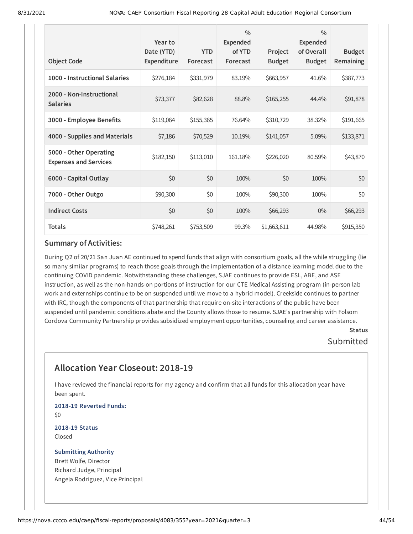| <b>Object Code</b>                                     | Year to<br>Date (YTD)<br><b>Expenditure</b> | <b>YTD</b><br>Forecast | $\frac{0}{0}$<br>Expended<br>of YTD<br>Forecast | Project<br><b>Budget</b> | $\frac{0}{0}$<br>Expended<br>of Overall<br><b>Budget</b> | <b>Budget</b><br><b>Remaining</b> |
|--------------------------------------------------------|---------------------------------------------|------------------------|-------------------------------------------------|--------------------------|----------------------------------------------------------|-----------------------------------|
| 1000 - Instructional Salaries                          | \$276,184                                   | \$331,979              | 83.19%                                          | \$663,957                | 41.6%                                                    | \$387,773                         |
| 2000 - Non-Instructional<br><b>Salaries</b>            | \$73,377                                    | \$82,628               | 88.8%                                           | \$165,255                | 44.4%                                                    | \$91,878                          |
| 3000 - Employee Benefits                               | \$119,064                                   | \$155,365              | 76.64%                                          | \$310,729                | 38.32%                                                   | \$191,665                         |
| 4000 - Supplies and Materials                          | \$7,186                                     | \$70,529               | 10.19%                                          | \$141,057                | 5.09%                                                    | \$133,871                         |
| 5000 - Other Operating<br><b>Expenses and Services</b> | \$182,150                                   | \$113,010              | 161.18%                                         | \$226,020                | 80.59%                                                   | \$43,870                          |
| 6000 - Capital Outlay                                  | \$0                                         | \$0                    | 100%                                            | \$0                      | 100%                                                     | \$0                               |
| 7000 - Other Outgo                                     | \$90,300                                    | \$0                    | 100%                                            | \$90,300                 | 100%                                                     | \$0                               |
| <b>Indirect Costs</b>                                  | \$0                                         | \$0                    | 100%                                            | \$66,293                 | $0\%$                                                    | \$66,293                          |
| <b>Totals</b>                                          | \$748,261                                   | \$753,509              | 99.3%                                           | \$1,663,611              | 44.98%                                                   | \$915,350                         |

During Q2 of 20/21 San Juan AE continued to spend funds that align with consortium goals, all the while struggling (lie so many similar programs) to reach those goals through the implementation of a distance learning model due to the continuing COVID pandemic. Notwithstanding these challenges, SJAE continues to provide ESL, ABE, and ASE instruction, as well as the non-hands-on portions of instruction for our CTE Medical Assisting program (in-person lab work and externships continue to be on suspended until we move to a hybrid model). Creekside continues to partner with IRC, though the components of that partnership that require on-site interactions of the public have been suspended until pandemic conditions abate and the County allows those to resume. SJAE's partnership with Folsom Cordova Community Partnership provides subsidized employment opportunities, counseling and career assistance.

### **Status** Submitted

# **Allocation Year Closeout: 2018-19**

I have reviewed the financial reports for my agency and confirm that all funds for this allocation year have been spent.

**2018-19 Reverted Funds:** \$0

**2018-19 Status** Closed

#### **Submitting Authority** Brett Wolfe, Director

Richard Judge, Principal Angela Rodriguez, Vice Principal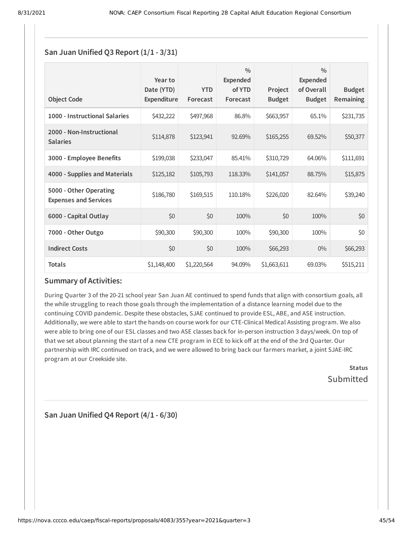### **San Juan Unified Q3 Report (1/1 - 3/31)**

| <b>Object Code</b>                                     | Year to<br>Date (YTD)<br><b>Expenditure</b> | <b>YTD</b><br>Forecast | $\frac{0}{0}$<br>Expended<br>of YTD<br>Forecast | Project<br><b>Budget</b> | $\frac{0}{0}$<br>Expended<br>of Overall<br><b>Budget</b> | <b>Budget</b><br><b>Remaining</b> |
|--------------------------------------------------------|---------------------------------------------|------------------------|-------------------------------------------------|--------------------------|----------------------------------------------------------|-----------------------------------|
| 1000 - Instructional Salaries                          | \$432,222                                   | \$497,968              | 86.8%                                           | \$663,957                | 65.1%                                                    | \$231,735                         |
| 2000 - Non-Instructional<br><b>Salaries</b>            | \$114,878                                   | \$123,941              | 92.69%                                          | \$165,255                | 69.52%                                                   | \$50,377                          |
| 3000 - Employee Benefits                               | \$199,038                                   | \$233,047              | 85.41%                                          | \$310,729                | 64.06%                                                   | \$111,691                         |
| 4000 - Supplies and Materials                          | \$125,182                                   | \$105,793              | 118.33%                                         | \$141,057                | 88.75%                                                   | \$15,875                          |
| 5000 - Other Operating<br><b>Expenses and Services</b> | \$186,780                                   | \$169,515              | 110.18%                                         | \$226,020                | 82.64%                                                   | \$39,240                          |
| 6000 - Capital Outlay                                  | \$0                                         | \$0                    | 100%                                            | \$0                      | 100%                                                     | \$0                               |
| 7000 - Other Outgo                                     | \$90,300                                    | \$90,300               | 100%                                            | \$90,300                 | 100%                                                     | \$0                               |
| <b>Indirect Costs</b>                                  | \$0                                         | \$0                    | 100%                                            | \$66,293                 | $0\%$                                                    | \$66,293                          |
| <b>Totals</b>                                          | \$1,148,400                                 | \$1,220,564            | 94.09%                                          | \$1,663,611              | 69.03%                                                   | \$515,211                         |

### **Summary of Activities:**

During Quarter 3 of the 20-21 school year San Juan AE continued to spend funds that align with consortium goals, all the while struggling to reach those goals through the implementation of a distance learning model due to the continuing COVID pandemic. Despite these obstacles, SJAE continued to provide ESL, ABE, and ASE instruction. Additionally, we were able to start the hands-on course work for our CTE-Clinical Medical Assisting program. We also were able to bring one of our ESL classes and two ASE classes back for in-person instruction 3 days/week. On top of that we set about planning the start of a new CTE program in ECE to kick off at the end of the 3rd Quarter. Our partnership with IRC continued on track, and we were allowed to bring back our farmers market, a joint SJAE-IRC program at our Creekside site.

> **Status** Submitted

**San Juan Unified Q4 Report (4/1 - 6/30)**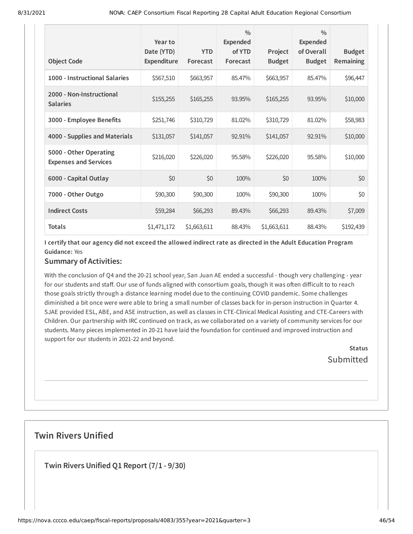| <b>Object Code</b>                                     | Year to<br>Date (YTD)<br>Expenditure | <b>YTD</b><br>Forecast | $\frac{0}{0}$<br>Expended<br>of YTD<br>Forecast | Project<br><b>Budget</b> | $\frac{0}{0}$<br>Expended<br>of Overall<br><b>Budget</b> | <b>Budget</b><br><b>Remaining</b> |
|--------------------------------------------------------|--------------------------------------|------------------------|-------------------------------------------------|--------------------------|----------------------------------------------------------|-----------------------------------|
| 1000 - Instructional Salaries                          | \$567,510                            | \$663,957              | 85.47%                                          | \$663,957                | 85.47%                                                   | \$96,447                          |
| 2000 - Non-Instructional<br><b>Salaries</b>            | \$155,255                            | \$165,255              | 93.95%                                          | \$165,255                | 93.95%                                                   | \$10,000                          |
| 3000 - Employee Benefits                               | \$251,746                            | \$310,729              | 81.02%                                          | \$310,729                | 81.02%                                                   | \$58,983                          |
| 4000 - Supplies and Materials                          | \$131,057                            | \$141,057              | 92.91%                                          | \$141,057                | 92.91%                                                   | \$10,000                          |
| 5000 - Other Operating<br><b>Expenses and Services</b> | \$216,020                            | \$226,020              | 95.58%                                          | \$226,020                | 95.58%                                                   | \$10,000                          |
| 6000 - Capital Outlay                                  | \$0                                  | \$0                    | 100%                                            | \$0                      | 100%                                                     | \$0                               |
| 7000 - Other Outgo                                     | \$90,300                             | \$90,300               | 100%                                            | \$90,300                 | 100%                                                     | \$0                               |
| <b>Indirect Costs</b>                                  | \$59,284                             | \$66,293               | 89.43%                                          | \$66,293                 | 89.43%                                                   | \$7,009                           |
| <b>Totals</b>                                          | \$1,471,172                          | \$1,663,611            | 88.43%                                          | \$1,663,611              | 88.43%                                                   | \$192,439                         |

I certify that our agency did not exceed the allowed indirect rate as directed in the Adult Education Program **Guidance:** Yes

# **Summary of Activities:**

With the conclusion of Q4 and the 20-21 school year, San Juan AE ended a successful - though very challenging - year for our students and staff. Our use of funds aligned with consortium goals, though it was often difficult to to reach those goals strictly through a distance learning model due to the continuing COVID pandemic. Some challenges diminished a bit once were were able to bring a small number of classes back for in-person instruction in Quarter 4. SJAE provided ESL, ABE, and ASE instruction, as well as classes in CTE-Clinical Medical Assisting and CTE-Careers with Children. Our partnership with IRC continued on track, as we collaborated on a variety of community services for our students. Many pieces implemented in 20-21 have laid the foundation for continued and improved instruction and support for our students in 2021-22 and beyond.

> **Status Submitted**

# **Twin Rivers Unified**

**Twin Rivers Unified Q1 Report (7/1 - 9/30)**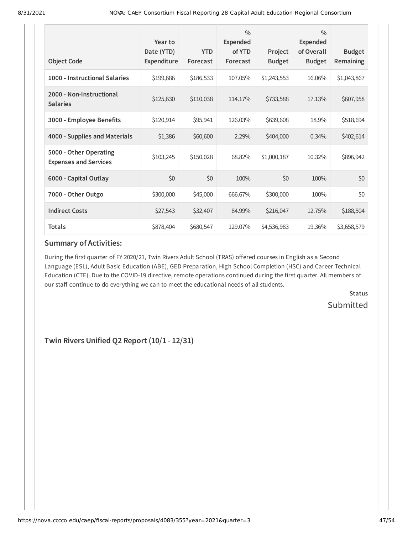| <b>Object Code</b>                                     | Year to<br>Date (YTD)<br>Expenditure | <b>YTD</b><br>Forecast | $\frac{0}{0}$<br>Expended<br>of YTD<br>Forecast | Project<br><b>Budget</b> | $\frac{0}{0}$<br><b>Expended</b><br>of Overall<br><b>Budget</b> | <b>Budget</b><br><b>Remaining</b> |
|--------------------------------------------------------|--------------------------------------|------------------------|-------------------------------------------------|--------------------------|-----------------------------------------------------------------|-----------------------------------|
| 1000 - Instructional Salaries                          | \$199,686                            | \$186,533              | 107.05%                                         | \$1,243,553              | 16.06%                                                          | \$1,043,867                       |
| 2000 - Non-Instructional<br><b>Salaries</b>            | \$125,630                            | \$110,038              | 114.17%                                         | \$733,588                | 17.13%                                                          | \$607,958                         |
| 3000 - Employee Benefits                               | \$120,914                            | \$95,941               | 126.03%                                         | \$639,608                | 18.9%                                                           | \$518,694                         |
| 4000 - Supplies and Materials                          | \$1,386                              | \$60,600               | 2.29%                                           | \$404,000                | $0.34\%$                                                        | \$402,614                         |
| 5000 - Other Operating<br><b>Expenses and Services</b> | \$103,245                            | \$150,028              | 68.82%                                          | \$1,000,187              | 10.32%                                                          | \$896,942                         |
| 6000 - Capital Outlay                                  | \$0                                  | \$0                    | 100%                                            | \$0                      | 100%                                                            | \$0                               |
| 7000 - Other Outgo                                     | \$300,000                            | \$45,000               | 666.67%                                         | \$300,000                | 100%                                                            | \$0                               |
| <b>Indirect Costs</b>                                  | \$27,543                             | \$32,407               | 84.99%                                          | \$216,047                | 12.75%                                                          | \$188,504                         |
| <b>Totals</b>                                          | \$878,404                            | \$680,547              | 129.07%                                         | \$4,536,983              | 19.36%                                                          | \$3,658,579                       |

During the first quarter of FY 2020/21, Twin Rivers Adult School (TRAS) offered courses in English as a Second Language (ESL), Adult Basic Education (ABE), GED Preparation, High School Completion (HSC) and Career Technical Education (CTE). Due to the COVID-19 directive, remote operations continued during the first quarter. All members of our staff continue to do everything we can to meet the educational needs of all students.

> **Status** Submitted

**Twin Rivers Unified Q2 Report (10/1 - 12/31)**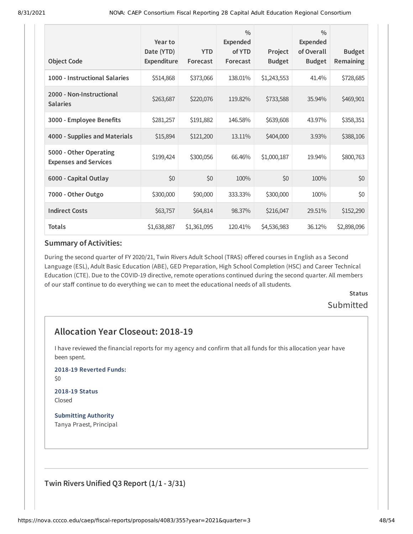| <b>Object Code</b>                                     | Year to<br>Date (YTD)<br>Expenditure | <b>YTD</b><br>Forecast | $\frac{0}{0}$<br><b>Expended</b><br>of YTD<br>Forecast | Project<br><b>Budget</b> | $\frac{0}{0}$<br><b>Expended</b><br>of Overall<br><b>Budget</b> | <b>Budget</b><br>Remaining |
|--------------------------------------------------------|--------------------------------------|------------------------|--------------------------------------------------------|--------------------------|-----------------------------------------------------------------|----------------------------|
| 1000 - Instructional Salaries                          | \$514,868                            | \$373,066              | 138.01%                                                | \$1,243,553              | 41.4%                                                           | \$728,685                  |
| 2000 - Non-Instructional<br><b>Salaries</b>            | \$263,687                            | \$220,076              | 119.82%                                                | \$733,588                | 35.94%                                                          | \$469,901                  |
| 3000 - Employee Benefits                               | \$281,257                            | \$191,882              | 146.58%                                                | \$639,608                | 43.97%                                                          | \$358,351                  |
| 4000 - Supplies and Materials                          | \$15,894                             | \$121,200              | 13.11%                                                 | \$404,000                | 3.93%                                                           | \$388,106                  |
| 5000 - Other Operating<br><b>Expenses and Services</b> | \$199,424                            | \$300,056              | 66.46%                                                 | \$1,000,187              | 19.94%                                                          | \$800,763                  |
| 6000 - Capital Outlay                                  | \$0                                  | \$0                    | 100%                                                   | \$0                      | 100%                                                            | \$0                        |
| 7000 - Other Outgo                                     | \$300,000                            | \$90,000               | 333.33%                                                | \$300,000                | 100%                                                            | \$0                        |
| <b>Indirect Costs</b>                                  | \$63,757                             | \$64,814               | 98.37%                                                 | \$216,047                | 29.51%                                                          | \$152,290                  |
| <b>Totals</b>                                          | \$1,638,887                          | \$1,361,095            | 120.41%                                                | \$4,536,983              | 36.12%                                                          | \$2,898,096                |

During the second quarter of FY 2020/21, Twin Rivers Adult School (TRAS) offered courses in English as a Second Language (ESL), Adult Basic Education (ABE), GED Preparation, High School Completion (HSC) and Career Technical Education (CTE). Due to the COVID-19 directive, remote operations continued during the second quarter. All members of our staff continue to do everything we can to meet the educational needs of all students.

> **Status** Submitted

# **Allocation Year Closeout: 2018-19**

I have reviewed the financial reports for my agency and confirm that all funds for this allocation year have been spent.

**2018-19 Reverted Funds:**

\$0

#### **2018-19 Status** Closed

**Submitting Authority** Tanya Praest, Principal

**Twin Rivers Unified Q3 Report (1/1 - 3/31)**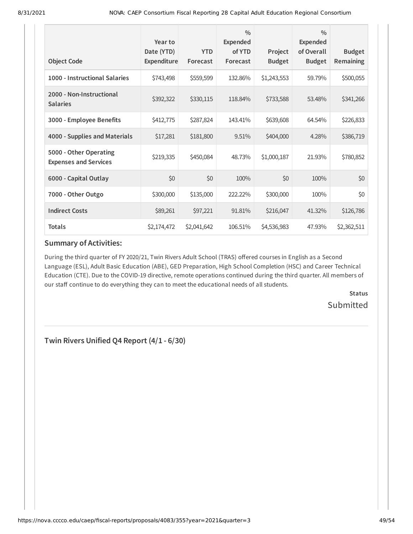| <b>Object Code</b>                                     | Year to<br>Date (YTD)<br>Expenditure | <b>YTD</b><br>Forecast | $\frac{0}{0}$<br>Expended<br>of YTD<br>Forecast | Project<br><b>Budget</b> | $\frac{0}{0}$<br>Expended<br>of Overall<br><b>Budget</b> | <b>Budget</b><br><b>Remaining</b> |
|--------------------------------------------------------|--------------------------------------|------------------------|-------------------------------------------------|--------------------------|----------------------------------------------------------|-----------------------------------|
| 1000 - Instructional Salaries                          | \$743,498                            | \$559,599              | 132.86%                                         | \$1,243,553              | 59.79%                                                   | \$500,055                         |
| 2000 - Non-Instructional<br><b>Salaries</b>            | \$392,322                            | \$330,115              | 118.84%                                         | \$733,588                | 53.48%                                                   | \$341,266                         |
| 3000 - Employee Benefits                               | \$412,775                            | \$287,824              | 143.41%                                         | \$639,608                | 64.54%                                                   | \$226,833                         |
| 4000 - Supplies and Materials                          | \$17,281                             | \$181,800              | 9.51%                                           | \$404,000                | 4.28%                                                    | \$386,719                         |
| 5000 - Other Operating<br><b>Expenses and Services</b> | \$219,335                            | \$450,084              | 48.73%                                          | \$1,000,187              | 21.93%                                                   | \$780,852                         |
| 6000 - Capital Outlay                                  | \$0                                  | \$0                    | 100%                                            | \$0                      | 100%                                                     | \$0                               |
| 7000 - Other Outgo                                     | \$300,000                            | \$135,000              | 222.22%                                         | \$300,000                | 100%                                                     | \$0                               |
| <b>Indirect Costs</b>                                  | \$89,261                             | \$97,221               | 91.81%                                          | \$216,047                | 41.32%                                                   | \$126,786                         |
| <b>Totals</b>                                          | \$2,174,472                          | \$2,041,642            | 106.51%                                         | \$4,536,983              | 47.93%                                                   | \$2,362,511                       |

During the third quarter of FY 2020/21, Twin Rivers Adult School (TRAS) offered courses in English as a Second Language (ESL), Adult Basic Education (ABE), GED Preparation, High School Completion (HSC) and Career Technical Education (CTE). Due to the COVID-19 directive, remote operations continued during the third quarter. All members of our staff continue to do everything they can to meet the educational needs of all students.

> **Status** Submitted

**Twin Rivers Unified Q4 Report (4/1 - 6/30)**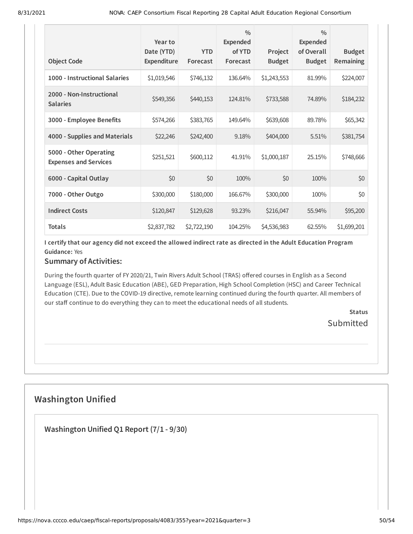| <b>Object Code</b>                                     | Year to<br>Date (YTD)<br><b>Expenditure</b> | <b>YTD</b><br>Forecast | $\frac{0}{0}$<br><b>Expended</b><br>of YTD<br>Forecast | Project<br><b>Budget</b> | $\frac{0}{0}$<br>Expended<br>of Overall<br><b>Budget</b> | <b>Budget</b><br><b>Remaining</b> |
|--------------------------------------------------------|---------------------------------------------|------------------------|--------------------------------------------------------|--------------------------|----------------------------------------------------------|-----------------------------------|
| 1000 - Instructional Salaries                          | \$1,019,546                                 | \$746,132              | 136.64%                                                | \$1,243,553              | 81.99%                                                   | \$224,007                         |
| 2000 - Non-Instructional<br><b>Salaries</b>            | \$549,356                                   | \$440,153              | 124.81%                                                | \$733,588                | 74.89%                                                   | \$184,232                         |
| 3000 - Employee Benefits                               | \$574,266                                   | \$383,765              | 149.64%                                                | \$639,608                | 89.78%                                                   | \$65,342                          |
| 4000 - Supplies and Materials                          | \$22,246                                    | \$242,400              | 9.18%                                                  | \$404,000                | 5.51%                                                    | \$381,754                         |
| 5000 - Other Operating<br><b>Expenses and Services</b> | \$251,521                                   | \$600,112              | 41.91%                                                 | \$1,000,187              | 25.15%                                                   | \$748,666                         |
| 6000 - Capital Outlay                                  | \$0                                         | \$0                    | 100%                                                   | \$0                      | 100%                                                     | \$0                               |
| 7000 - Other Outgo                                     | \$300,000                                   | \$180,000              | 166.67%                                                | \$300,000                | 100%                                                     | \$0                               |
| <b>Indirect Costs</b>                                  | \$120,847                                   | \$129,628              | 93.23%                                                 | \$216,047                | 55.94%                                                   | \$95,200                          |
| <b>Totals</b>                                          | \$2,837,782                                 | \$2,722,190            | 104.25%                                                | \$4,536,983              | 62.55%                                                   | \$1,699,201                       |

I certify that our agency did not exceed the allowed indirect rate as directed in the Adult Education Program **Guidance:** Yes

### **Summary of Activities:**

During the fourth quarter of FY 2020/21, Twin Rivers Adult School (TRAS) offered courses in English as a Second Language (ESL), Adult Basic Education (ABE), GED Preparation, High School Completion (HSC) and Career Technical Education (CTE). Due to the COVID-19 directive, remote learning continued during the fourth quarter. All members of our staff continue to do everything they can to meet the educational needs of all students.

> **Status Submitted**

# **Washington Unified**

**Washington Unified Q1 Report (7/1 - 9/30)**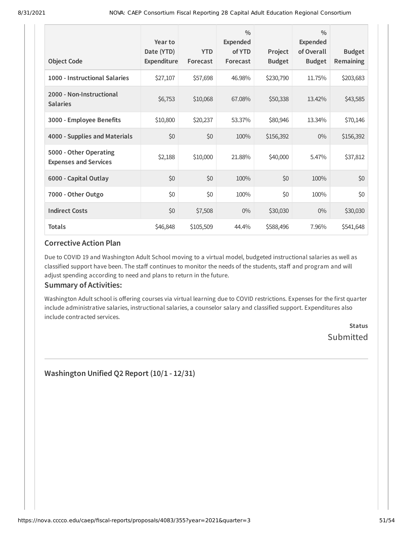| <b>Object Code</b>                                     | Year to<br>Date (YTD)<br><b>Expenditure</b> | <b>YTD</b><br>Forecast | $\frac{0}{0}$<br><b>Expended</b><br>of YTD<br>Forecast | Project<br><b>Budget</b> | $\frac{0}{0}$<br>Expended<br>of Overall<br><b>Budget</b> | <b>Budget</b><br>Remaining |
|--------------------------------------------------------|---------------------------------------------|------------------------|--------------------------------------------------------|--------------------------|----------------------------------------------------------|----------------------------|
| 1000 - Instructional Salaries                          | \$27,107                                    | \$57,698               | 46.98%                                                 | \$230,790                | 11.75%                                                   | \$203,683                  |
| 2000 - Non-Instructional<br><b>Salaries</b>            | \$6,753                                     | \$10,068               | 67.08%                                                 | \$50,338                 | 13.42%                                                   | \$43,585                   |
| 3000 - Employee Benefits                               | \$10,800                                    | \$20,237               | 53.37%                                                 | \$80,946                 | 13.34%                                                   | \$70,146                   |
| 4000 - Supplies and Materials                          | \$0                                         | \$0                    | 100%                                                   | \$156,392                | $0\%$                                                    | \$156,392                  |
| 5000 - Other Operating<br><b>Expenses and Services</b> | \$2,188                                     | \$10,000               | 21.88%                                                 | \$40,000                 | 5.47%                                                    | \$37,812                   |
| 6000 - Capital Outlay                                  | \$0                                         | \$0                    | 100%                                                   | \$0                      | 100%                                                     | \$0                        |
| 7000 - Other Outgo                                     | \$0                                         | \$0                    | 100%                                                   | \$0                      | 100%                                                     | \$0                        |
| <b>Indirect Costs</b>                                  | \$0                                         | \$7,508                | $0\%$                                                  | \$30,030                 | $0\%$                                                    | \$30,030                   |
| <b>Totals</b>                                          | \$46,848                                    | \$105,509              | 44.4%                                                  | \$588,496                | 7.96%                                                    | \$541,648                  |

Due to COVID 19 and Washington Adult School moving to a virtual model, budgeted instructional salaries as well as classified support have been. The staff continues to monitor the needs of the students, staff and program and will adjust spending according to need and plans to return in the future.

### **Summary of Activities:**

Washington Adult school is offering courses via virtual learning due to COVID restrictions. Expenses for the first quarter include administrative salaries, instructional salaries, a counselor salary and classified support. Expenditures also include contracted services.

> **Status** Submitted

**Washington Unified Q2 Report (10/1 - 12/31)**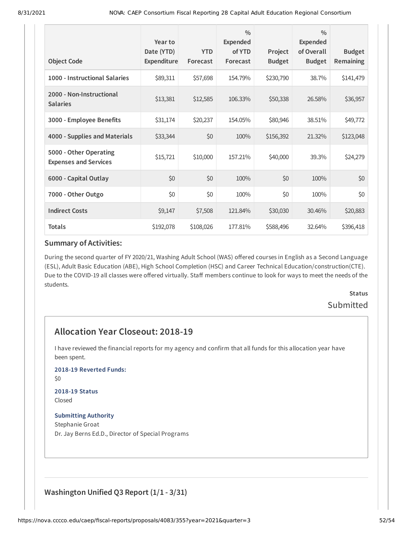| <b>Object Code</b>                                     | Year to<br>Date (YTD)<br>Expenditure | <b>YTD</b><br>Forecast | $\frac{0}{0}$<br><b>Expended</b><br>of YTD<br>Forecast | Project<br><b>Budget</b> | $\frac{0}{0}$<br>Expended<br>of Overall<br><b>Budget</b> | <b>Budget</b><br><b>Remaining</b> |
|--------------------------------------------------------|--------------------------------------|------------------------|--------------------------------------------------------|--------------------------|----------------------------------------------------------|-----------------------------------|
| 1000 - Instructional Salaries                          | \$89,311                             | \$57,698               | 154.79%                                                | \$230,790                | 38.7%                                                    | \$141,479                         |
| 2000 - Non-Instructional<br><b>Salaries</b>            | \$13,381                             | \$12,585               | 106.33%                                                | \$50,338                 | 26.58%                                                   | \$36,957                          |
| 3000 - Employee Benefits                               | \$31,174                             | \$20,237               | 154.05%                                                | \$80,946                 | 38.51%                                                   | \$49,772                          |
| 4000 - Supplies and Materials                          | \$33,344                             | \$0                    | 100%                                                   | \$156,392                | 21.32%                                                   | \$123,048                         |
| 5000 - Other Operating<br><b>Expenses and Services</b> | \$15,721                             | \$10,000               | 157.21%                                                | \$40,000                 | 39.3%                                                    | \$24,279                          |
| 6000 - Capital Outlay                                  | \$0                                  | \$0                    | 100%                                                   | \$0                      | 100%                                                     | \$0                               |
| 7000 - Other Outgo                                     | \$0                                  | \$0                    | 100%                                                   | \$0                      | 100%                                                     | \$0                               |
| <b>Indirect Costs</b>                                  | \$9,147                              | \$7,508                | 121.84%                                                | \$30,030                 | 30.46%                                                   | \$20,883                          |
| <b>Totals</b>                                          | \$192,078                            | \$108,026              | 177.81%                                                | \$588,496                | 32.64%                                                   | \$396,418                         |

During the second quarter of FY 2020/21, Washing Adult School (WAS) offered courses in English as a Second Language (ESL), Adult Basic Education (ABE), High School Completion (HSC) and Career Technical Education/construction(CTE). Due to the COVID-19 all classes were offered virtually. Staff members continue to look for ways to meet the needs of the students.

# **Status** Submitted

# **Allocation Year Closeout: 2018-19**

I have reviewed the financial reports for my agency and confirm that all funds for this allocation year have been spent.

#### **2018-19 Reverted Funds:**

\$0

#### **2018-19 Status** Closed

### **Submitting Authority**

Stephanie Groat Dr. Jay Berns Ed.D., Director of Special Programs

# **Washington Unified Q3 Report (1/1 - 3/31)**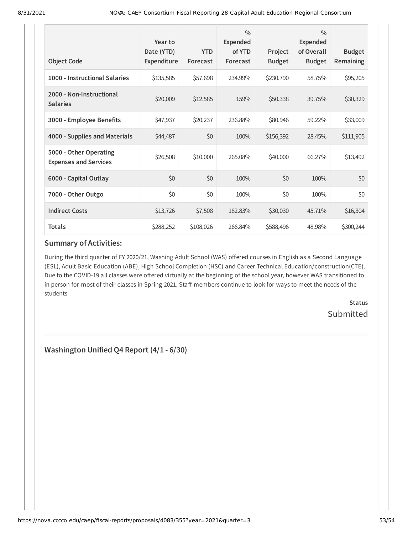| <b>Object Code</b>                                     | Year to<br>Date (YTD)<br>Expenditure | <b>YTD</b><br>Forecast | $\frac{0}{0}$<br><b>Expended</b><br>of YTD<br>Forecast | Project<br><b>Budget</b> | $\frac{0}{0}$<br><b>Expended</b><br>of Overall<br><b>Budget</b> | <b>Budget</b><br><b>Remaining</b> |
|--------------------------------------------------------|--------------------------------------|------------------------|--------------------------------------------------------|--------------------------|-----------------------------------------------------------------|-----------------------------------|
|                                                        |                                      |                        |                                                        |                          |                                                                 |                                   |
| 1000 - Instructional Salaries                          | \$135,585                            | \$57,698               | 234.99%                                                | \$230,790                | 58.75%                                                          | \$95,205                          |
| 2000 - Non-Instructional<br><b>Salaries</b>            | \$20,009                             | \$12,585               | 159%                                                   | \$50,338                 | 39.75%                                                          | \$30,329                          |
| 3000 - Employee Benefits                               | \$47,937                             | \$20,237               | 236.88%                                                | \$80,946                 | 59.22%                                                          | \$33,009                          |
| 4000 - Supplies and Materials                          | \$44,487                             | \$0                    | 100%                                                   | \$156,392                | 28.45%                                                          | \$111,905                         |
| 5000 - Other Operating<br><b>Expenses and Services</b> | \$26,508                             | \$10,000               | 265.08%                                                | \$40,000                 | 66.27%                                                          | \$13,492                          |
| 6000 - Capital Outlay                                  | \$0                                  | \$0                    | 100%                                                   | \$0                      | 100%                                                            | \$0                               |
| 7000 - Other Outgo                                     | \$0                                  | \$0                    | 100%                                                   | \$0                      | 100%                                                            | \$0                               |
| <b>Indirect Costs</b>                                  | \$13,726                             | \$7,508                | 182.83%                                                | \$30,030                 | 45.71%                                                          | \$16,304                          |
| <b>Totals</b>                                          | \$288,252                            | \$108,026              | 266.84%                                                | \$588,496                | 48.98%                                                          | \$300,244                         |

During the third quarter of FY 2020/21, Washing Adult School (WAS) offered courses in English as a Second Language (ESL), Adult Basic Education (ABE), High School Completion (HSC) and Career Technical Education/construction(CTE). Due to the COVID-19 all classes were offered virtually at the beginning of the school year, however WAS transitioned to in person for most of their classes in Spring 2021. Staff members continue to look for ways to meet the needs of the students

> **Status** Submitted

**Washington Unified Q4 Report (4/1 - 6/30)**